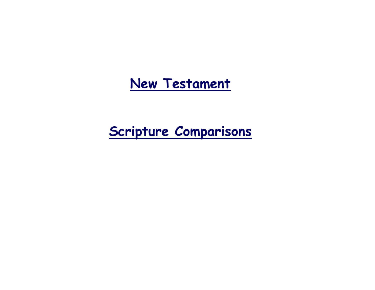# **New Testament**

# **Scripture Comparisons**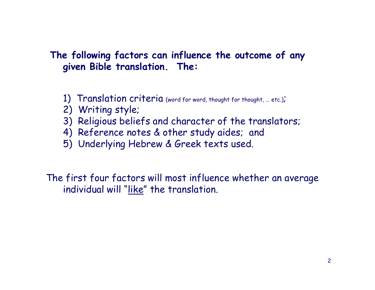## **The following factors can influence the outcome of any given Bible translation. The:**

- 1) Translation criteria (word for word, thought for thought, ... etc.);
- 2) Writing style;
- 3) Religious beliefs and character of the translators;
- 4) Reference notes & other study aides; and
- 5) Underlying Hebrew & Greek texts used.

The first four factors will most influence whether an average individual will "like" the translation.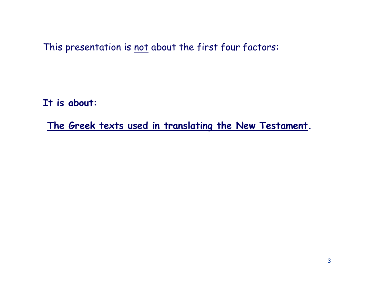This presentation is not about the first four factors:

**It is about:**

**The Greek texts used in translating the New Testament.**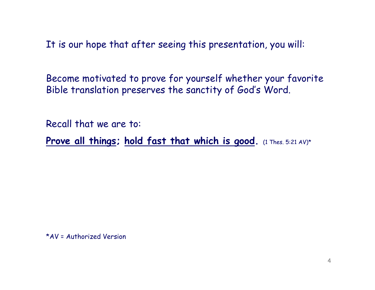It is our hope that after seeing this presentation, you will:

Become motivated to prove for yourself whether your favorite Bible translation preserves the sanctity of God's Word.

Recall that we are to:

Prove all things; hold fast that which is good.  $(1$  Thes. 5:21 AV)\*

\*AV = Authorized Version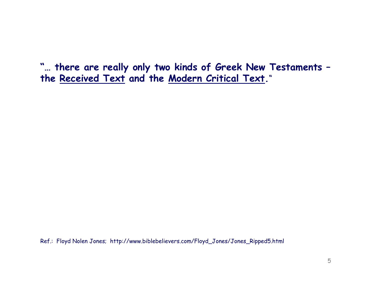**"… there are really only two kinds of Greek New Testaments – the Received Text and the Modern Critical Text.**"

Ref.: Floyd Nolen Jones; http://www.biblebelievers.com/Floyd\_Jones/Jones\_Ripped5.html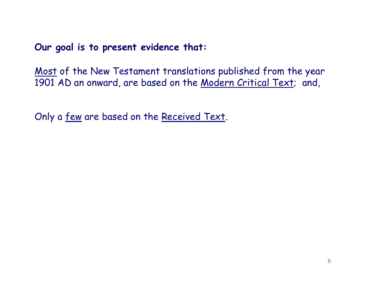**Our goal is to present evidence that:** 

Most of the New Testament translations published from the year 1901 AD an onward, are based on the Modern Critical Text; and,

Only a few are based on the Received Text.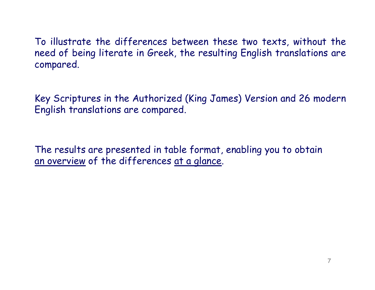To illustrate the differences between these two texts, without the need of being literate in Greek, the resulting English translations are compared.

Key Scriptures in the Authorized (King James) Version and 26 modern English translations are compared.

The results are presented in table format, enabling you to obtain an overview of the differences at a glance.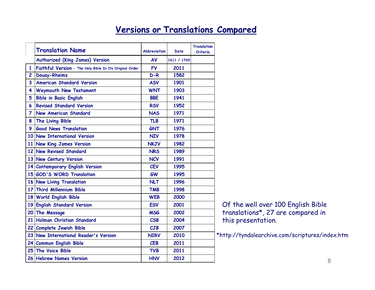## **Versions or Translations Compared**

|                | <b>Translation Name</b>                                 | <b>Abbreviation</b> |             | <b>Translation</b> |
|----------------|---------------------------------------------------------|---------------------|-------------|--------------------|
|                |                                                         |                     | Date        | Criteria           |
|                | Authorized (King James) Version                         | AV                  | 1611 / 1769 |                    |
| $\mathbf{1}$   | Faithful Version - The Holy Bible In Its Original Order | <b>FV</b>           | 2011        |                    |
| $\overline{c}$ | <b>Douay-Rheims</b>                                     | $D-R$               | 1582        |                    |
| 3              | <b>American Standard Version</b>                        | <b>ASV</b>          | 1901        |                    |
| 4              | <b>Weymouth New Testament</b>                           | <b>WNT</b>          | 1903        |                    |
| 5              | <b>Bible in Basic English</b>                           | <b>BBE</b>          | 1941        |                    |
| 6              | <b>Revised Standard Version</b>                         | <b>RSV</b>          | 1952        |                    |
| $\overline{7}$ | <b>New American Standard</b>                            | <b>NAS</b>          | 1971        |                    |
| 8              | The Living Bible                                        | <b>TLB</b>          | 1971        |                    |
| 9              | <b>Good News Translation</b>                            | <b>GNT</b>          | 1976        |                    |
|                | 10 New International Version                            | <b>NIV</b>          | 1978        |                    |
|                | 11 New King James Version                               | <b>NKJV</b>         | 1982        |                    |
|                | 12 New Revised Standard                                 | <b>NRS</b>          | 1989        |                    |
|                | 13 New Century Version                                  | <b>NCV</b>          | 1991        |                    |
|                | 14 Contemporary English Version                         | <b>CEV</b>          | 1995        |                    |
|                | 15 GOD'S WORD Translation                               | <b>GW</b>           | 1995        |                    |
|                | 16 New Living Translation                               | <b>NLT</b>          | 1996        |                    |
|                | 17 Third Millennium Bible                               | <b>TMB</b>          | 1998        |                    |
|                | 18 World English Bible                                  | <b>WEB</b>          | 2000        |                    |
|                | 19 English Standard Version                             | <b>ESV</b>          | 2001        |                    |
|                | 20 The Message                                          | <b>MSG</b>          | 2002        |                    |
| 21             | Holman Christian Standard                               | CSB                 | 2004        |                    |
|                | 22 Complete Jewish Bible                                | CJB                 | 2007        |                    |
|                | 23 New International Reader's Version                   | <b>NIRV</b>         | 2010        |                    |
|                | 24 Common English Bible                                 | <b>CEB</b>          | 2011        |                    |
|                | 25 The Voice Bible                                      | <b>TVB</b>          | 2011        |                    |
|                | 26 Hebrew Names Version                                 | <b>HNV</b>          | 2012        |                    |

Of the well over 100 English Bible translations\*, 27 are compared in this presentation.

\*http://tyndalearchive.com/scriptures/index.htm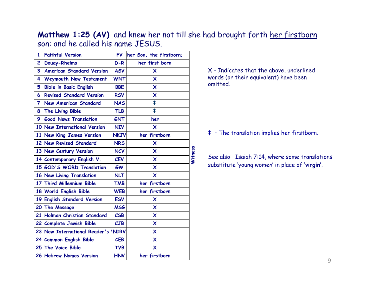**Matthew 1:25 (AV)** and knew her not till she had brought forth her firstborn son: and he called his name JESUS.

| 1              | <b>Faithful Version</b>          | <b>FV</b>   | her Son, the firstborn;   |         |
|----------------|----------------------------------|-------------|---------------------------|---------|
| $\overline{c}$ | <b>Douay-Rheims</b>              | $D-R$       | her first born            |         |
| 3              | <b>American Standard Version</b> | <b>ASV</b>  | X                         |         |
| 4              | <b>Weymouth New Testament</b>    | <b>WNT</b>  | $\boldsymbol{\mathsf{x}}$ |         |
| 5              | <b>Bible in Basic English</b>    | <b>BBE</b>  | X                         |         |
| 6              | <b>Revised Standard Version</b>  | <b>RSV</b>  | X                         |         |
| 7              | <b>New American Standard</b>     | <b>NAS</b>  | $\ddagger$                |         |
| 8              | The Living Bible                 | <b>TLB</b>  | ŧ                         |         |
| 9              | <b>Good News Translation</b>     | <b>GNT</b>  | her                       |         |
|                | 10 New International Version     | <b>NIV</b>  | $\boldsymbol{\mathsf{x}}$ |         |
| 11             | <b>New King James Version</b>    | <b>NKJV</b> | her firstborn             |         |
|                | 12 New Revised Standard          | <b>NRS</b>  | X                         |         |
|                | 13 New Century Version           | <b>NCV</b>  | $\boldsymbol{\mathsf{x}}$ |         |
|                | 14 Contemporary English V.       | <b>CEV</b>  | X                         | Witness |
|                | 15 GOD'S WORD Translation        | <b>GW</b>   | $\boldsymbol{\mathsf{x}}$ |         |
|                | 16 New Living Translation        | <b>NLT</b>  | X                         |         |
|                | 17 Third Millennium Bible        | <b>TMB</b>  | her firstborn             |         |
|                | 18 World English Bible           | <b>WEB</b>  | her firstborn             |         |
|                | 19 English Standard Version      | <b>ESV</b>  | X                         |         |
| 20             | The Message                      | <b>MSG</b>  | $\boldsymbol{\mathsf{x}}$ |         |
| 21             | Holman Christian Standard        | CSB         | X                         |         |
|                | 22 Complete Jewish Bible         | CJB         | $\boldsymbol{\mathsf{x}}$ |         |
| 23             | New International Reader's       | <b>NIRV</b> | X                         |         |
|                | 24 Common English Bible          | <b>CEB</b>  | X                         |         |
|                | 25 The Voice Bible               | <b>TVB</b>  | X                         |         |
|                | 26 Hebrew Names Version          | <b>HNV</b>  | her firstborn             |         |

X - Indicates that the above, underlined words (or their equivalent) have been omitted.

‡ – The translation implies her firstborn.

See also: Isaiah 7:14, where some translations substitute 'young women' in place of **'virgin'**.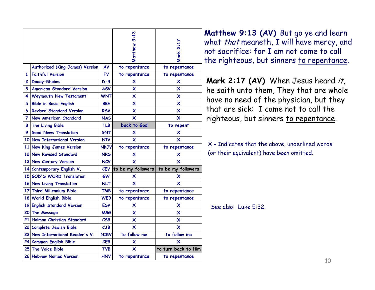|    |                                  |             | Matthew 9:13              | Mark 2:17                 |
|----|----------------------------------|-------------|---------------------------|---------------------------|
|    | Authorized (King James) Version  | AV          | to repentance             | to repentance             |
| 1  | <b>Faithful Version</b>          | <b>FV</b>   | to repentance             | to repentance             |
| 2  | <b>Douay-Rheims</b>              | $D-R$       | X                         | X                         |
| 3  | <b>American Standard Version</b> | <b>ASV</b>  | x                         | x                         |
| 4  | <b>Weymouth New Testament</b>    | <b>WNT</b>  | X                         | $\overline{\mathsf{x}}$   |
| 5  | <b>Bible in Basic English</b>    | <b>BBE</b>  | X                         | $\boldsymbol{\mathsf{x}}$ |
| 6  | <b>Revised Standard Version</b>  | <b>RSV</b>  | X                         | X                         |
| 7  | <b>New American Standard</b>     | <b>NAS</b>  | X                         | X                         |
| 8  | The Living Bible                 | <b>TLB</b>  | back to God               | to repent                 |
| 9. | <b>Good News Translation</b>     | <b>GNT</b>  | X                         | $\boldsymbol{\mathsf{x}}$ |
|    | 10 New International Version     | <b>NIV</b>  | X                         | $\overline{\mathsf{x}}$   |
|    | 11 New King James Version        | NKJV        | to repentance             | to repentance             |
|    | 12 New Revised Standard          | <b>NRS</b>  | $\boldsymbol{\mathsf{x}}$ | $\boldsymbol{\mathsf{x}}$ |
|    | 13 New Century Version           | <b>NCV</b>  | X                         | X                         |
|    | 14 Contemporary English V.       | <b>CEV</b>  | to be my followers        | to be my followers        |
|    | 15 GOD'S WORD Translation        | <b>GW</b>   | x                         | x                         |
|    | 16 New Living Translation        | <b>NLT</b>  | X                         | X                         |
|    | 17 Third Millennium Bible        | TMB         | to repentance             | to repentance             |
|    | 18 World English Bible           | <b>WEB</b>  | to repentance             | to repentance             |
|    | 19 English Standard Version      | <b>ESV</b>  | x                         | X                         |
|    | 20 The Message                   | <b>MSG</b>  | X                         | X                         |
|    | 21 Holman Christian Standard     | CSB         | x                         | $\boldsymbol{\mathsf{x}}$ |
|    | 22 Complete Jewish Bible         | CJB         | X                         | $\overline{\mathsf{x}}$   |
|    | 23 New International Reader's V. | <b>NIRV</b> | to follow me              | to follow me              |
|    | 24 Common English Bible          | <b>CEB</b>  | X                         | X                         |
|    | 25 The Voice Bible               | <b>TVB</b>  | X                         | to turn back to Him       |
|    | 26 Hebrew Names Version          | HNV         | to repentance             | to repentance             |

**Matthew 9:13 (AV)** But go ye and learn what *that* meaneth, I will have mercy, and<br>  $\frac{12}{3}$  not sacrifice: for I am not come to call<br>
the righteous, but sinners <u>to repentance</u>. not sacrifice: for I am not come to call

> **Mark 2:17 (AV)** When Jesus heard it, he saith unto them, They that are whole have no need of the physician, but they that are sick: I came not to call the righteous, but sinners to repentance.

X - Indicates that the above, underlined words (or their equivalent) have been omitted.

See also: Luke 5:32.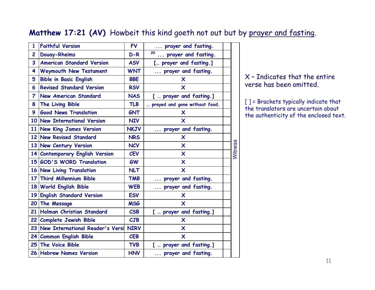#### **Matthew 17:21 (AV)** Howbeit this kind goeth not out but by prayer and fasting.

| 1               | <b>Faithful Version</b>             | <b>FV</b>                         | prayer and fasting.                 |         |
|-----------------|-------------------------------------|-----------------------------------|-------------------------------------|---------|
| $\overline{c}$  | <b>Douay-Rheims</b>                 | $D-R$                             | 20<br>prayer and fasting.           |         |
| 3               | <b>American Standard Version</b>    | <b>ASV</b>                        | [ prayer and fasting.]              |         |
| 4               | Weymouth New Testament              | <b>WNT</b>                        | prayer and fasting.<br>$\cdots$     |         |
| 5               | <b>Bible in Basic English</b>       | <b>BBE</b>                        | X                                   |         |
| 6               | <b>Revised Standard Version</b>     | <b>RSV</b>                        | $\boldsymbol{\mathsf{x}}$           |         |
| $\overline{7}$  | <b>New American Standard</b>        | <b>NAS</b>                        | [  prayer and fasting.]             |         |
| 8               | The Living Bible                    | <b>TLB</b>                        | prayed and gone without food.       |         |
| 9               | <b>Good News Translation</b>        | <b>GNT</b>                        | X                                   |         |
|                 | 10 New International Version        | <b>NIV</b>                        | X                                   |         |
|                 | 11 New King James Version           | <b>NKJV</b>                       | prayer and fasting.                 |         |
|                 | 12 New Revised Standard             | <b>NRS</b>                        | X                                   |         |
|                 | 13 New Century Version              | <b>NCV</b>                        | $\boldsymbol{\mathsf{x}}$           |         |
|                 | 14 Contemporary English Version     | <b>CEV</b>                        | $\boldsymbol{\mathsf{x}}$           | Witness |
|                 | 15 GOD'S WORD Translation           | <b>GW</b>                         | $\boldsymbol{\mathsf{x}}$           |         |
|                 | 16 New Living Translation           | <b>NLT</b>                        | $\boldsymbol{\mathsf{x}}$           |         |
|                 | 17 Third Millennium Bible           | <b>TMB</b>                        | prayer and fasting.                 |         |
|                 | 18 World English Bible              | <b>WEB</b>                        | prayer and fasting.<br>$\mathbf{1}$ |         |
|                 | 19 English Standard Version         | <b>ESV</b>                        | X                                   |         |
| 20 <sub>1</sub> | The Message                         | <b>MSG</b>                        | X                                   |         |
|                 | 21 Holman Christian Standard        | $\mathcal{C}\mathsf{S}\mathsf{B}$ | [  prayer and fasting.]             |         |
|                 | 22 Complete Jewish Bible            | CJB                               | $\boldsymbol{\mathsf{x}}$           |         |
|                 | 23 New International Reader's Versi | <b>NIRV</b>                       | $\overline{\mathsf{x}}$             |         |
|                 | 24 Common English Bible             | <b>CEB</b>                        | $\boldsymbol{\mathsf{x}}$           |         |
|                 | 25 The Voice Bible                  | <b>TVB</b>                        | [  prayer and fasting.]             |         |
|                 | 26 Hebrew Names Version             | <b>HNV</b>                        | prayer and fasting.                 |         |

#### X – Indicates that the entire verse has been omitted.

[ ] = Brackets typically indicate that the translators are uncertain about the authenticity of the enclosed text.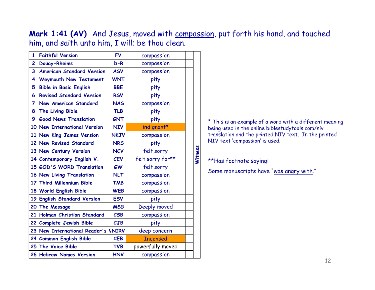**Mark 1:41 (AV)** And Jesus, moved with compassion, put forth his hand, and touched him, and saith unto him, I will; be thou clean.

| $\mathbf{1}$   | <b>Faithful Version</b>             | <b>FV</b>   | compassion       |                |
|----------------|-------------------------------------|-------------|------------------|----------------|
| $\mathbf{2}$   | <b>Douay-Rheims</b>                 | $D-R$       | compassion       |                |
| 3              | <b>American Standard Version</b>    | <b>ASV</b>  | compassion       |                |
| 4              | <b>Weymouth New Testament</b>       | <b>WNT</b>  | pity             |                |
| 5              | <b>Bible in Basic English</b>       | <b>BBE</b>  | pity             |                |
| 6              | <b>Revised Standard Version</b>     | <b>RSV</b>  | pity             |                |
| $\overline{7}$ | <b>New American Standard</b>        | <b>NAS</b>  | compassion       |                |
| 8              | The Living Bible                    | <b>TLB</b>  | pity             |                |
| 9              | <b>Good News Translation</b>        | <b>GNT</b>  | pity             |                |
|                | 10 New International Version        | <b>NIV</b>  | indignant*       |                |
|                | 11 New King James Version           | <b>NKJV</b> | compassion       |                |
|                | 12 New Revised Standard             | <b>NRS</b>  | pity             |                |
|                | 13 New Century Version              | <b>NCV</b>  | felt sorry       |                |
|                | 14 Contemporary English V.          | <b>CEV</b>  | felt sorry for** | <b>Witness</b> |
|                | 15 GOD'S WORD Translation           | <b>GW</b>   | felt sorry       |                |
|                | 16 New Living Translation           | <b>NLT</b>  | compassion       |                |
|                | 17 Third Millennium Bible           | <b>TMB</b>  | compassion       |                |
|                | 18 World English Bible              | <b>WEB</b>  | compassion       |                |
|                | 19 English Standard Version         | <b>ESV</b>  | pity             |                |
|                | 20 The Message                      | <b>MSG</b>  | Deeply moved     |                |
| 21             | Holman Christian Standard           | CSB         | compassion       |                |
|                | 22 Complete Jewish Bible            | CJB         | pity             |                |
|                | 23 New International Reader's VNIRV |             | deep concern     |                |
|                | 24 Common English Bible             | <b>CEB</b>  | <b>Incensed</b>  |                |
|                | 25 The Voice Bible                  | <b>TVB</b>  | powerfully moved |                |
|                | 26 Hebrew Names Version             | <b>HNV</b>  | compassion       |                |
|                |                                     |             |                  |                |

\* This is an example of a word with a different meaning being used in the online biblestudytools.com/niv translation and the printed NIV text. In the printed NIV text 'compassion' is used.

#### \*\*Has footnote saying:

Some manuscripts have "was angry with."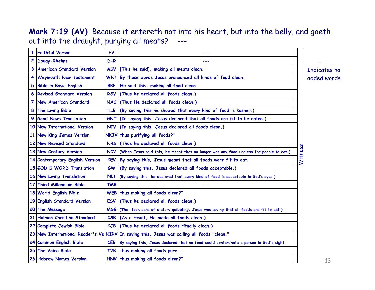#### **Mark 7:19 (AV)** Because it entereth not into his heart, but into the belly, and goeth out into the draught, purging all meats? ---

|           | <b>Faithful Verson</b>           | <b>FV</b>                |                                                                                             |         |     |
|-----------|----------------------------------|--------------------------|---------------------------------------------------------------------------------------------|---------|-----|
| 2         | <b>Douay-Rheims</b>              | $D-R$                    |                                                                                             |         |     |
| 3         | <b>American Standard Version</b> |                          | ASV [This he said], making all meats clean.                                                 |         | Inc |
| 4         | <b>Weymouth New Testament</b>    |                          | WNT By these words Jesus pronounced all kinds of food clean.                                |         | adc |
| 5         | <b>Bible in Basic English</b>    | <b>BBE</b>               | He said this, making all food clean.                                                        |         |     |
| 6         | <b>Revised Standard Version</b>  |                          | RSV (Thus he declared all foods clean.)                                                     |         |     |
| 7         | <b>New American Standard</b>     |                          | NAS (Thus He declared all foods clean.)                                                     |         |     |
| 8         | The Living Bible                 | <b>TLB</b>               | (By saying this he showed that every kind of food is kosher.)                               |         |     |
| 9         | <b>Good News Translation</b>     |                          | GNT (In saying this, Jesus declared that all foods are fit to be eaten.)                    |         |     |
|           | 10 New International Version     |                          | NIV (In saying this, Jesus declared all foods clean.)                                       |         |     |
| <b>11</b> | <b>New King James Version</b>    |                          | NKJV thus purifying all foods?"                                                             |         |     |
|           | 12 New Revised Standard          |                          | NRS (Thus he declared all foods clean.)                                                     |         |     |
|           | 13 New Century Version           |                          | NCV (When Jesus said this, he meant that no longer was any food unclean for people to eat.) | Witness |     |
|           | 14 Contemporary English Version  | <b>CEV</b>               | By saying this, Jesus meant that all foods were fit to eat.                                 |         |     |
|           | 15 GOD'S WORD Translation        | <b>GW</b>                | (By saying this, Jesus declared all foods acceptable.)                                      |         |     |
|           | 16 New Living Translation        |                          | NLT (By saying this, he declared that every kind of food is acceptable in God's eyes.)      |         |     |
| 17        | <b>Third Millennium Bible</b>    | <b>TMB</b>               |                                                                                             |         |     |
|           | 18 World English Bible           |                          | WEB thus making all foods clean?"                                                           |         |     |
|           | 19 English Standard Version      | <b>ESV</b>               | (Thus he declared all foods clean.)                                                         |         |     |
|           | 20 The Message                   |                          | MSG (That took care of dietary quibbling; Jesus was saying that all foods are fit to eat.)  |         |     |
|           | 21 Holman Christian Standard     | $\mathcal{C}\mathsf{SB}$ | (As a result, He made all foods clean.)                                                     |         |     |
|           | 22 Complete Jewish Bible         | CJB                      | (Thus he declared all foods ritually clean.)                                                |         |     |
|           |                                  |                          | 23 New International Reader's Ve NIRV In saying this, Jesus was calling all foods "clean."  |         |     |
|           | 24 Common English Bible          | <b>CEB</b>               | By saying this, Jesus declared that no food could contaminate a person in God's sight.      |         |     |
|           | 25 The Voice Bible               |                          | TVB thus making all foods pure.                                                             |         |     |
|           | 26 Hebrew Names Version          |                          | HNV thus making all foods clean?"                                                           |         |     |
|           |                                  |                          |                                                                                             |         |     |

dicates no ded words.

---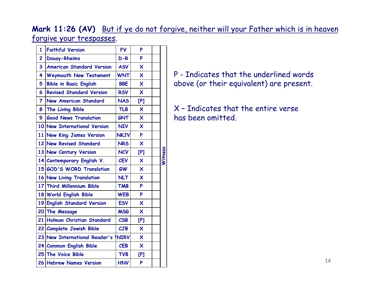**Mark 11:26 (AV)** But if ye do not forgive, neither will your Father which is in heaven forgive your trespasses.

| $\mathbf{1}$   | <b>Faithful Version</b>          | <b>FV</b>    | P                         |         |
|----------------|----------------------------------|--------------|---------------------------|---------|
| $\overline{c}$ | <b>Douay-Rheims</b>              | $D-R$        | P                         |         |
| 3              | <b>American Standard Version</b> | <b>ASV</b>   | $\boldsymbol{\mathsf{x}}$ |         |
| 4              | Weymouth New Testament           | <b>WNT</b>   | $\boldsymbol{\mathsf{x}}$ |         |
| 5              | <b>Bible in Basic English</b>    | <b>BBE</b>   | $\overline{\mathsf{x}}$   |         |
| 6              | <b>Revised Standard Version</b>  | <b>RSV</b>   | $\boldsymbol{\mathsf{x}}$ |         |
| $\overline{7}$ | <b>New American Standard</b>     | <b>NAS</b>   | [P]                       |         |
| 8              | The Living Bible                 | <b>TLB</b>   | $\boldsymbol{\mathsf{X}}$ |         |
| 9              | <b>Good News Translation</b>     | <b>GNT</b>   | $\mathsf{x}$              |         |
|                | 10 New International Version     | <b>NIV</b>   | $\boldsymbol{\mathsf{X}}$ |         |
| 11             | New King James Version           | <b>NKJV</b>  | P                         |         |
|                | 12 New Revised Standard          | <b>NRS</b>   | $\boldsymbol{\mathsf{X}}$ |         |
|                | 13 New Century Version           | <b>NCV</b>   | [P]                       |         |
|                | 14 Contemporary English V.       | <b>CEV</b>   | $\overline{\mathsf{x}}$   | Witness |
|                | 15 GOD'S WORD Translation        | <b>GW</b>    | $\overline{\mathsf{x}}$   |         |
|                | 16 New Living Translation        | <b>NLT</b>   | $\overline{\mathsf{x}}$   |         |
|                | 17 Third Millennium Bible        | <b>TMB</b>   | P                         |         |
|                | 18 World English Bible           | <b>WEB</b>   | P                         |         |
|                | 19 English Standard Version      | <b>ESV</b>   | $\boldsymbol{\mathsf{x}}$ |         |
|                | 20 The Message                   | <b>MSG</b>   | $\boldsymbol{\mathsf{x}}$ |         |
| 21             | Holman Christian Standard        | <b>CSB</b>   | [P]                       |         |
|                | 22 Complete Jewish Bible         | CJB          | $\boldsymbol{\mathsf{X}}$ |         |
|                | 23 New International Reader's    | <b>INIRV</b> | $\boldsymbol{\mathsf{x}}$ |         |
|                | 24 Common English Bible          | <b>CEB</b>   | $\boldsymbol{\mathsf{x}}$ |         |
|                | 25 The Voice Bible               | <b>TVB</b>   | [P]                       |         |
|                | 26 Hebrew Names Version          | <b>HNV</b>   | P                         |         |

P - Indicates that the underlined words above (or their equivalent) are present.

X – Indicates that the entire verse has been omitted.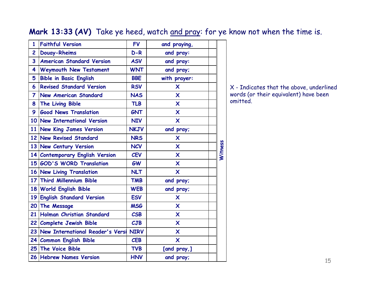#### **Mark 13:33 (AV)** Take ye heed, watch and pray: for ye know not when the time is.

| 1               | <b>Faithful Version</b>             | <b>FV</b>   | and praying,              |         |
|-----------------|-------------------------------------|-------------|---------------------------|---------|
| 2               | <b>Douay-Rheims</b>                 | $D-R$       | and pray:                 |         |
| 3               | <b>American Standard Version</b>    | <b>ASV</b>  | and pray:                 |         |
| 4               | Weymouth New Testament              | <b>WNT</b>  | and pray;                 |         |
| 5               | <b>Bible in Basic English</b>       | <b>BBE</b>  | with prayer:              |         |
| 6               | <b>Revised Standard Version</b>     | <b>RSV</b>  | X                         |         |
| 7               | <b>New American Standard</b>        | <b>NAS</b>  | $\boldsymbol{\mathsf{X}}$ |         |
| 8               | The Living Bible                    | <b>TLB</b>  | $\mathsf{x}$              |         |
| 9               | <b>Good News Translation</b>        | <b>GNT</b>  | $\boldsymbol{\mathsf{X}}$ |         |
|                 | 10 New International Version        | <b>NIV</b>  | $\boldsymbol{\mathsf{X}}$ |         |
|                 | 11 New King James Version           | <b>NKJV</b> | and pray;                 |         |
|                 | 12 New Revised Standard             | <b>NRS</b>  | X                         |         |
|                 | 13 New Century Version              | <b>NCV</b>  | $\boldsymbol{\mathsf{X}}$ | Witness |
|                 | 14 Contemporary English Version     | <b>CEV</b>  | $\boldsymbol{\mathsf{X}}$ |         |
|                 | 15 GOD'S WORD Translation           | <b>GW</b>   | $\boldsymbol{\mathsf{X}}$ |         |
|                 | 16 New Living Translation           | <b>NLT</b>  | $\mathsf{x}$              |         |
|                 | 17 Third Millennium Bible           | <b>TMB</b>  | and pray;                 |         |
|                 | 18 World English Bible              | <b>WEB</b>  | and pray;                 |         |
| 19              | <b>English Standard Version</b>     | <b>ESV</b>  | $\mathsf{x}$              |         |
|                 | 20 The Message                      | <b>MSG</b>  | $\boldsymbol{\mathsf{X}}$ |         |
| 21              | Holman Christian Standard           | CSB         | $\mathsf{x}$              |         |
|                 | 22 Complete Jewish Bible            | CJB         | $\overline{\mathsf{x}}$   |         |
|                 | 23 New International Reader's Versi | <b>NIRV</b> | $\boldsymbol{\mathsf{X}}$ |         |
| 24 <sub>1</sub> | <b>Common English Bible</b>         | <b>CEB</b>  | $\boldsymbol{\mathsf{X}}$ |         |
|                 | 25 The Voice Bible                  | <b>TVB</b>  | [and pray,]               |         |
|                 | 26 Hebrew Names Version             | <b>HNV</b>  | and pray;                 |         |
|                 |                                     |             |                           |         |

X - Indicates that the above, underlined words (or their equivalent) have been omitted.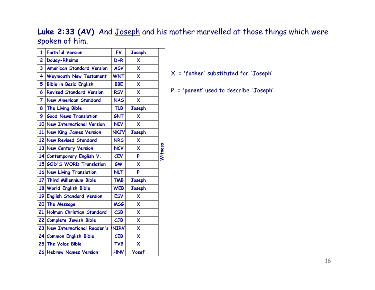### Luke 2:33 (AV) And Joseph and his mother marvelled at those things which were spoken of him.

| 2  | Douay-Rheims                     | $D-R$       | $\boldsymbol{\mathsf{x}}$ |         |
|----|----------------------------------|-------------|---------------------------|---------|
| 3  | <b>American Standard Version</b> | <b>ASV</b>  | $\overline{\mathsf{x}}$   |         |
| 4  | Weymouth New Testament           | <b>WNT</b>  | $\boldsymbol{\mathsf{x}}$ |         |
| 5  | <b>Bible in Basic English</b>    | <b>BBE</b>  | $\overline{\mathsf{x}}$   |         |
| 6  | <b>Revised Standard Version</b>  | <b>RSV</b>  | $\boldsymbol{\mathsf{x}}$ |         |
| 7  | <b>New American Standard</b>     | <b>NAS</b>  | $\overline{\mathsf{x}}$   |         |
| 8  | The Living Bible                 | <b>TLB</b>  | Joseph                    |         |
| 9  | <b>Good News Translation</b>     | <b>GNT</b>  | $\boldsymbol{\mathsf{x}}$ |         |
| 10 | <b>New International Version</b> | <b>NIV</b>  | X                         |         |
|    | 11 New King James Version        | <b>NKJV</b> | Joseph                    |         |
|    | 12 New Revised Standard          | <b>NRS</b>  | $\boldsymbol{\mathsf{x}}$ |         |
|    | 13 New Century Version           | <b>NCV</b>  | $\boldsymbol{\mathsf{x}}$ | Witness |
| 14 | Contemporary English V.          | <b>CEV</b>  | P                         |         |
|    | 15 GOD'S WORD Translation        | <b>GW</b>   | $\boldsymbol{\mathsf{x}}$ |         |
|    | 16 New Living Translation        | <b>NLT</b>  | P                         |         |
|    | 17 Third Millennium Bible        | <b>TMB</b>  | Joseph                    |         |
|    | 18 World English Bible           | <b>WEB</b>  | Joseph                    |         |
|    | 19 English Standard Version      | <b>ESV</b>  | $\boldsymbol{\mathsf{x}}$ |         |
| 20 | The Message                      | <b>MSG</b>  | $\boldsymbol{\mathsf{x}}$ |         |
| 21 | Holman Christian Standard        | CSB         | $\overline{\mathsf{x}}$   |         |
|    | 22 Complete Jewish Bible         | CJB         | $\overline{\mathsf{x}}$   |         |
|    | 23 New International Reader's    | <b>NIRV</b> | $\overline{\mathsf{x}}$   |         |
|    | 24 Common English Bible          | <b>CEB</b>  | $\boldsymbol{\mathsf{x}}$ |         |
|    | 25 The Voice Bible               | <b>TVB</b>  | $\boldsymbol{\mathsf{x}}$ |         |
|    | 26 Hebrew Names Version          | <b>HNV</b>  | <b>Yosef</b>              |         |

- X = **'father'** substituted for 'Joseph'.
- P = **'parent'** used to describe 'Joseph'.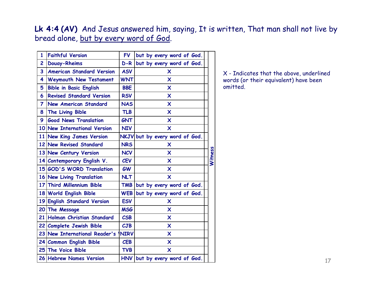#### **Lk 4:4 (AV)** And Jesus answered him, saying, It is written, That man shall not live by bread alone, but by every word of God.

| $\mathbf{1}$            | <b>Faithful Version</b>          | <b>FV</b>                         | but by every word of God.      |         |
|-------------------------|----------------------------------|-----------------------------------|--------------------------------|---------|
| $\overline{2}$          | <b>Douay-Rheims</b>              | $D-R$                             | but by every word of God.      |         |
| $\overline{\mathbf{3}}$ | <b>American Standard Version</b> | <b>ASV</b>                        | X                              |         |
| 4                       | Weymouth New Testament           | <b>WNT</b>                        | X                              |         |
| 5                       | <b>Bible in Basic English</b>    | <b>BBE</b>                        | X                              |         |
| 6                       | <b>Revised Standard Version</b>  | <b>RSV</b>                        | $\boldsymbol{\mathsf{x}}$      |         |
| $\overline{7}$          | <b>New American Standard</b>     | <b>NAS</b>                        | $\boldsymbol{\mathsf{x}}$      |         |
| 8                       | <b>The Living Bible</b>          | <b>TLB</b>                        | X                              |         |
| 9                       | <b>Good News Translation</b>     | <b>GNT</b>                        | X                              |         |
|                         | 10 New International Version     | <b>NIV</b>                        | $\boldsymbol{\mathsf{x}}$      |         |
|                         | 11 New King James Version        |                                   | NKJV but by every word of God. |         |
|                         | 12 New Revised Standard          | <b>NRS</b>                        | X                              |         |
|                         | 13 New Century Version           | <b>NCV</b>                        | $\boldsymbol{\mathsf{x}}$      | Witness |
|                         | 14 Contemporary English V.       | <b>CEV</b>                        | X                              |         |
|                         | 15 GOD'S WORD Translation        | <b>GW</b>                         | X                              |         |
|                         | 16 New Living Translation        | <b>NLT</b>                        | $\boldsymbol{\mathsf{x}}$      |         |
|                         | 17 Third Millennium Bible        | <b>TMB</b>                        | but by every word of God.      |         |
|                         | 18 World English Bible           | <b>WEB</b>                        | but by every word of God.      |         |
|                         | 19 English Standard Version      | <b>ESV</b>                        | X                              |         |
|                         | 20 The Message                   | <b>MSG</b>                        | X                              |         |
|                         | 21 Holman Christian Standard     | $\mathcal{C}\mathsf{S}\mathsf{B}$ | X                              |         |
|                         | 22 Complete Jewish Bible         | CJB                               | X                              |         |
|                         | 23 New International Reader's    | <b>INIRV</b>                      | X                              |         |
|                         | 24 Common English Bible          | <b>CEB</b>                        | X                              |         |
|                         | 25 The Voice Bible               | <b>TVB</b>                        | X                              |         |
|                         | 26 Hebrew Names Version          |                                   | HNV but by every word of God.  |         |

X - Indicates that the above, underlined words (or their equivalent) have been omitted.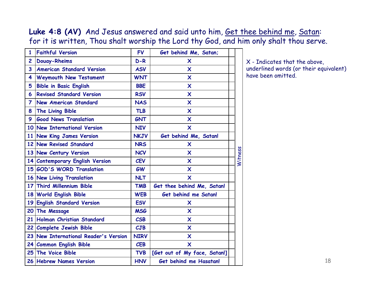#### Luke 4:8 (AV) And Jesus answered and said unto him, Get thee behind me, Satan: for it is written, Thou shalt worship the Lord thy God, and him only shalt thou serve.

| $\mathbf{1}$   | <b>Faithful Version</b>               | <b>FV</b>   | Get behind Me, Satan;        |         |
|----------------|---------------------------------------|-------------|------------------------------|---------|
| $\overline{c}$ | <b>Douay-Rheims</b>                   | $D-R$       | X                            |         |
| 3              | <b>American Standard Version</b>      | <b>ASV</b>  | $\boldsymbol{\mathsf{X}}$    |         |
| 4              | <b>Weymouth New Testament</b>         | <b>WNT</b>  | X                            |         |
| 5              | <b>Bible in Basic English</b>         | <b>BBE</b>  | $\boldsymbol{\mathsf{x}}$    |         |
| 6              | <b>Revised Standard Version</b>       | <b>RSV</b>  | $\boldsymbol{\mathsf{X}}$    |         |
| $\overline{7}$ | <b>New American Standard</b>          | <b>NAS</b>  | $\boldsymbol{\mathsf{X}}$    |         |
| 8              | The Living Bible                      | <b>TLB</b>  | $\boldsymbol{\mathsf{X}}$    |         |
| 9              | <b>Good News Translation</b>          | <b>GNT</b>  | $\boldsymbol{\mathsf{X}}$    |         |
|                | 10 New International Version          | <b>NIV</b>  | $\boldsymbol{\mathsf{X}}$    |         |
|                | 11 New King James Version             | <b>NKJV</b> | Get behind Me, Satan!        |         |
|                | 12 New Revised Standard               | <b>NRS</b>  | X                            |         |
|                | 13 New Century Version                | <b>NCV</b>  | $\boldsymbol{\mathsf{x}}$    | Witness |
|                | 14 Contemporary English Version       | <b>CEV</b>  | $\boldsymbol{\mathsf{X}}$    |         |
|                | 15 GOD'S WORD Translation             | <b>GW</b>   | $\boldsymbol{\mathsf{x}}$    |         |
|                | 16 New Living Translation             | <b>NLT</b>  | $\overline{\mathsf{x}}$      |         |
|                | 17 Third Millennium Bible             | <b>TMB</b>  | Get thee behind Me, Satan!   |         |
|                | 18 World English Bible                | <b>WEB</b>  | Get behind me Satan!         |         |
|                | 19 English Standard Version           | <b>ESV</b>  | X                            |         |
|                | 20 The Message                        | <b>MSG</b>  | $\boldsymbol{\mathsf{X}}$    |         |
| 21             | Holman Christian Standard             | <b>CSB</b>  | $\boldsymbol{\mathsf{x}}$    |         |
|                | 22 Complete Jewish Bible              | CJB         | $\boldsymbol{\mathsf{X}}$    |         |
|                | 23 New International Reader's Version | <b>NIRV</b> | $\boldsymbol{\mathsf{X}}$    |         |
|                | 24 Common English Bible               | <b>CEB</b>  | X                            |         |
|                | 25 The Voice Bible                    | <b>TVB</b>  | [Get out of My face, Satan!] |         |
|                | 26 Hebrew Names Version               | <b>HNV</b>  | Get behind me Hasatan!       |         |

X - Indicates that the above, underlined words (or their equivalent) have been omitted.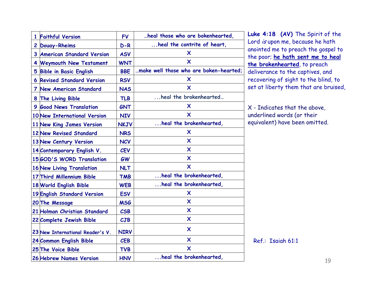|                                    | <b>FV</b>   | heal those who are bokenhearted,       |
|------------------------------------|-------------|----------------------------------------|
| 1 Faithful Version                 |             | heal the contrite of heart,            |
| 2 Douay-Rheims                     | $D-R$       |                                        |
| 3 American Standard Version        | <b>ASV</b>  | X                                      |
| 4 Weymouth New Testament           | <b>WNT</b>  | X                                      |
| 5 Bible in Basic English           | <b>BBE</b>  | make well those who are boken-hearted; |
| <b>6 Revised Standard Version</b>  | <b>RSV</b>  | X                                      |
| 7 New American Standard            | <b>NAS</b>  | X                                      |
| 8 The Living Bible                 | <b>TLB</b>  | heal the brokenhearted                 |
| 9 Good News Translation            | <b>GNT</b>  | X                                      |
| 10 New International Version       | <b>NIV</b>  | X                                      |
| 11 New King James Version          | <b>NKJV</b> | heal the brokenhearted,                |
| <b>12 New Revised Standard</b>     | <b>NRS</b>  | x                                      |
| 13 New Century Version             | <b>NCV</b>  | X                                      |
| 14 Contemporary English V.         | <b>CEV</b>  | X                                      |
| 15 GOD'S WORD Translation          | <b>GW</b>   | X                                      |
| <b>16 New Living Translation</b>   | <b>NLT</b>  | X                                      |
| 17 Third Millennium Bible          | <b>TMB</b>  | heal the brokenhearted,                |
| 18 World English Bible             | <b>WEB</b>  | heal the brokenhearted,                |
| <b>19 English Standard Version</b> | <b>ESV</b>  | X                                      |
| 20 The Message                     | <b>MSG</b>  | X                                      |
| 21 Holman Christian Standard       | <b>CSB</b>  | X                                      |
| 22 Complete Jewish Bible           | CJB         | X                                      |
| 23 New International Reader's V.   | <b>NIRV</b> | X                                      |
| 24 Common English Bible            | <b>CEB</b>  | X                                      |
| 25 The Voice Bible                 | <b>TVB</b>  | X                                      |
| 26 Hebrew Names Version            | <b>HNV</b>  | heal the brokenhearted,                |

**Luke 4:18 (AV)** The Spirit of the Lord *is* upon me, because he hath anointed me to preach the gospel to the poor; **he hath sent me to heal the brokenhearted**, to preach deliverance to the captives, and recovering of sight to the blind, to set at liberty them that are bruised,

X - Indicates that the above, underlined words (or their equivalent) have been omitted.

Ref.: Isaiah 61:1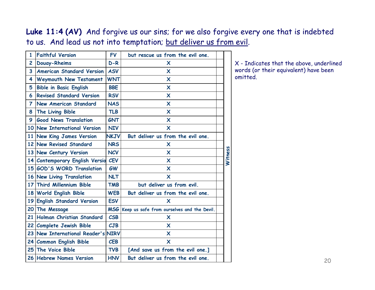Luke 11:4 (AV) And forgive us our sins; for we also forgive every one that is indebted to us. And lead us not into temptation; but deliver us from evil.

| $\mathbf{1}$   | <b>Faithful Version</b>            | <b>FV</b>   | but rescue us from the evil one.               |         |
|----------------|------------------------------------|-------------|------------------------------------------------|---------|
| $\overline{c}$ | <b>Douay-Rheims</b>                | $D-R$       | X                                              |         |
| 3              | <b>American Standard Version</b>   | <b>ASV</b>  | $\boldsymbol{\mathsf{X}}$                      |         |
| 4              | Weymouth New Testament             | <b>WNT</b>  | X                                              |         |
| 5              | <b>Bible in Basic English</b>      | <b>BBE</b>  | $\boldsymbol{\mathsf{x}}$                      |         |
| 6              | <b>Revised Standard Version</b>    | <b>RSV</b>  | $\boldsymbol{\mathsf{x}}$                      |         |
| 7              | <b>New American Standard</b>       | <b>NAS</b>  | $\boldsymbol{\mathsf{x}}$                      |         |
| 8              | The Living Bible                   | <b>TLB</b>  | $\boldsymbol{\mathsf{x}}$                      |         |
| 9              | <b>Good News Translation</b>       | <b>GNT</b>  | $\boldsymbol{\mathsf{X}}$                      |         |
|                | 10 New International Version       | <b>NIV</b>  | X                                              |         |
|                | 11 New King James Version          | <b>NKJV</b> | But deliver us from the evil one.              |         |
|                | 12 New Revised Standard            | <b>NRS</b>  | X                                              |         |
|                | 13 New Century Version             | <b>NCV</b>  | $\boldsymbol{\mathsf{x}}$                      | Witness |
|                | 14 Contemporary English Versio     | <b>CEV</b>  | $\boldsymbol{\mathsf{x}}$                      |         |
|                | 15 GOD'S WORD Translation          | <b>GW</b>   | X                                              |         |
|                | 16 New Living Translation          | <b>NLT</b>  | $\boldsymbol{\mathsf{x}}$                      |         |
|                | 17 Third Millennium Bible          | <b>TMB</b>  | but deliver us from evil.                      |         |
|                | 18 World English Bible             | <b>WEB</b>  | But deliver us from the evil one.              |         |
|                | 19 English Standard Version        | <b>ESV</b>  | X                                              |         |
| <b>20</b>      | The Message                        |             | MSG Keep us safe from ourselves and the Devil. |         |
|                | 21 Holman Christian Standard       | <b>CSB</b>  | X                                              |         |
|                | 22 Complete Jewish Bible           | CJB         | X                                              |         |
|                | 23 New International Reader's NIRV |             | $\boldsymbol{\mathsf{x}}$                      |         |
|                | 24 Common English Bible            | <b>CEB</b>  | X                                              |         |
|                | 25 The Voice Bible                 | <b>TVB</b>  | [And save us from the evil one.]               |         |
|                | 26 Hebrew Names Version            | <b>HNV</b>  | But deliver us from the evil one.              |         |

X - Indicates that the above, underlined words (or their equivalent) have been omitted.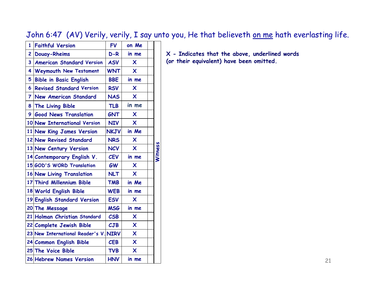John 6:47 (AV) Verily, verily, I say unto you, He that believeth on me hath everlasting life.

| $\mathbf{1}$   | <b>Faithful Version</b>               | <b>FV</b>   | on Me                     |                |
|----------------|---------------------------------------|-------------|---------------------------|----------------|
| $\overline{c}$ | <b>Douay-Rheims</b>                   | $D-R$       | in me                     |                |
| 3              | <b>American Standard Version</b>      | <b>ASV</b>  | X                         |                |
| 4              | Weymouth New Testament                | <b>WNT</b>  | $\mathsf{x}$              |                |
| 5              | <b>Bible in Basic English</b>         | <b>BBE</b>  | in me                     |                |
| 6              | <b>Revised Standard Version</b>       | <b>RSV</b>  | X                         |                |
| $\overline{7}$ | <b>New American Standard</b>          | <b>NAS</b>  | $\boldsymbol{\mathsf{X}}$ |                |
| 8              | The Living Bible                      | <b>TLB</b>  | in me                     |                |
| 9              | <b>Good News Translation</b>          | <b>GNT</b>  | $\boldsymbol{\mathsf{x}}$ |                |
|                | 10 New International Version          | <b>NIV</b>  | $\boldsymbol{\mathsf{X}}$ |                |
|                | 11 New King James Version             | <b>NKJV</b> | in Me                     |                |
|                | 12 New Revised Standard               | <b>NRS</b>  | X                         |                |
|                | 13 New Century Version                | <b>NCV</b>  | $\boldsymbol{\mathsf{x}}$ | <b>Nitness</b> |
|                | 14 Contemporary English V.            | <b>CEV</b>  | in me                     |                |
|                |                                       |             |                           |                |
|                | 15 GOD'S WORD Translation             | <b>GW</b>   | X                         |                |
|                | 16 New Living Translation             | <b>NLT</b>  | $\overline{\mathsf{x}}$   |                |
|                | 17 Third Millennium Bible             | <b>TMB</b>  | in Me                     |                |
|                | 18 World English Bible                | <b>WEB</b>  | in me                     |                |
|                | 19 English Standard Version           | <b>ESV</b>  | $\boldsymbol{\mathsf{X}}$ |                |
|                | 20 The Message                        | <b>MSG</b>  | in me                     |                |
|                | 21 Holman Christian Standard          | <b>CSB</b>  | X                         |                |
|                | 22 Complete Jewish Bible              | CJB         | $\boldsymbol{\mathsf{x}}$ |                |
|                | 23 New International Reader's V. NIRV |             | $\boldsymbol{\mathsf{X}}$ |                |
|                | 24 Common English Bible               | <b>CEB</b>  | $\boldsymbol{\mathsf{x}}$ |                |
|                | 25 The Voice Bible                    | <b>TVB</b>  | $\overline{\mathsf{x}}$   |                |

**X - Indicates that the above, underlined words (or their equivalent) have been omitted.**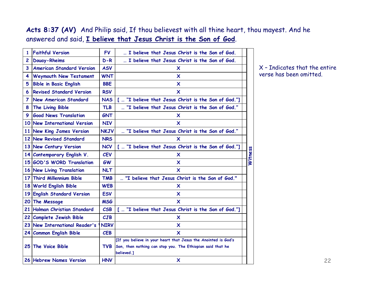#### **Acts 8:37 (AV)** And Philip said, If thou believest with all thine heart, thou mayest. And he answered and said, **I believe that Jesus Christ is the Son of God**.

| 1            | <b>Faithful Version</b>          | <b>FV</b>   | I believe that Jesus Christ is the Son of God.                                                                                             |                |
|--------------|----------------------------------|-------------|--------------------------------------------------------------------------------------------------------------------------------------------|----------------|
| $\mathbf{2}$ | Douay-Rheims                     | $D-R$       | I believe that Jesus Christ is the Son of God.                                                                                             |                |
| 3            | <b>American Standard Version</b> | <b>ASV</b>  | x                                                                                                                                          |                |
| 4            | <b>Weymouth New Testament</b>    | <b>WNT</b>  | $\boldsymbol{\mathsf{x}}$                                                                                                                  |                |
| 5            | <b>Bible in Basic English</b>    | <b>BBE</b>  | X                                                                                                                                          |                |
| 6            | <b>Revised Standard Version</b>  | <b>RSV</b>  | X                                                                                                                                          |                |
| 7            | <b>New American Standard</b>     | <b>NAS</b>  | [  "I believe that Jesus Christ is the Son of God."]                                                                                       |                |
| 8            | The Living Bible                 | <b>TLB</b>  | "I believe that Jesus Christ is the Son of God."                                                                                           |                |
| 9            | <b>Good News Translation</b>     | <b>GNT</b>  | X                                                                                                                                          |                |
|              | 10 New International Version     | <b>NIV</b>  | X                                                                                                                                          |                |
|              | 11 New King James Version        | <b>NKJV</b> | "I believe that Jesus Christ is the Son of God."                                                                                           |                |
|              | 12 New Revised Standard          | <b>NRS</b>  | X                                                                                                                                          |                |
|              | 13 New Century Version           | <b>NCV</b>  | [  "I believe that Jesus Christ is the Son of God."]                                                                                       |                |
|              | 14 Contemporary English V.       | <b>CEV</b>  | x                                                                                                                                          | <b>Witness</b> |
|              | 15 GOD'S WORD Translation        | <b>GW</b>   | X                                                                                                                                          |                |
|              | 16 New Living Translation        | <b>NLT</b>  | $\boldsymbol{\mathsf{x}}$                                                                                                                  |                |
|              | 17 Third Millennium Bible        | <b>TMB</b>  | "I believe that Jesus Christ is the Son of God."                                                                                           |                |
|              | 18 World English Bible           | <b>WEB</b>  | X                                                                                                                                          |                |
|              | 19 English Standard Version      | <b>ESV</b>  | X                                                                                                                                          |                |
|              | 20 The Message                   | <b>MSG</b>  | $\boldsymbol{\mathsf{x}}$                                                                                                                  |                |
|              | 21 Holman Christian Standard     | <b>CSB</b>  | [  "I believe that Jesus Christ is the Son of God."]                                                                                       |                |
|              | 22 Complete Jewish Bible         | CJB         | x                                                                                                                                          |                |
|              | 23 New International Reader's    | <b>NIRV</b> | X                                                                                                                                          |                |
|              | 24 Common English Bible          | <b>CEB</b>  | $\boldsymbol{\mathsf{x}}$                                                                                                                  |                |
|              | 25 The Voice Bible               | <b>TVB</b>  | [If you believe in your heart that Jesus the Anointed is God's<br>Son, then nothing can stop you. The Ethiopian said that he<br>believed.] |                |
|              | 26 Hebrew Names Version          | <b>HNV</b>  | $\boldsymbol{\mathsf{x}}$                                                                                                                  |                |

X – Indicates that the entire verse has been omitted.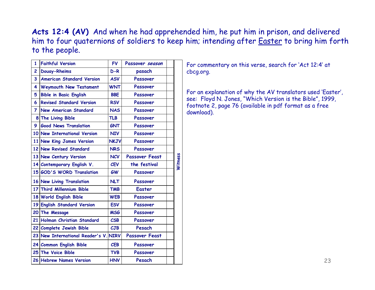**Acts 12:4 (AV)** And when he had apprehended him, he put him in prison, and delivered him to four quaternions of soldiers to keep him; intending after **Easter** to bring him forth to the people.

| 1              | <b>Faithful Version</b>               | <b>FV</b>   | Passover season       |         |
|----------------|---------------------------------------|-------------|-----------------------|---------|
| 2              | <b>Douay-Rheims</b>                   | $D-R$       | pasach                |         |
| 3              | <b>American Standard Version</b>      | <b>ASV</b>  | Passover              |         |
| 4              | Weymouth New Testament                | <b>WNT</b>  | Passover              |         |
| 5              | <b>Bible in Basic English</b>         | <b>BBE</b>  | Passover              |         |
| 6              | <b>Revised Standard Version</b>       | <b>RSV</b>  | Passover              |         |
| $\overline{7}$ | <b>New American Standard</b>          | <b>NAS</b>  | Passover              |         |
|                | 8 The Living Bible                    | <b>TLB</b>  | Passover              |         |
| 9.             | <b>Good News Translation</b>          | <b>GNT</b>  | Passover              |         |
|                | 10 New International Version          | <b>NIV</b>  | Passover              |         |
|                | 11 New King James Version             | <b>NKJV</b> | Passover              |         |
|                | 12 New Revised Standard               | <b>NRS</b>  | Passover              |         |
|                | 13 New Century Version                | <b>NCV</b>  | <b>Passover Feast</b> |         |
|                | 14 Contemporary English V.            | <b>CEV</b>  | the festival          | Witness |
|                | 15 GOD'S WORD Translation             | <b>GW</b>   | Passover              |         |
|                | 16 New Living Translation             | <b>NLT</b>  | Passover              |         |
|                | 17 Third Millennium Bible             | <b>TMB</b>  | <b>Easter</b>         |         |
|                | 18 World English Bible                | <b>WEB</b>  | Passover              |         |
|                | 19 English Standard Version           | <b>ESV</b>  | Passover              |         |
|                | 20 The Message                        | <b>MSG</b>  | Passover              |         |
|                | 21 Holman Christian Standard          | CSB         | Passover              |         |
|                | 22 Complete Jewish Bible              | CJB         | Pesach                |         |
|                | 23 New International Reader's V. NIRV |             | <b>Passover Feast</b> |         |
|                | 24 Common English Bible               | <b>CEB</b>  | Passover              |         |
|                | 25 The Voice Bible                    | <b>TVB</b>  | Passover              |         |
|                |                                       |             |                       |         |

For commentary on this verse, search for 'Act 12:4' at cbcg.org.

For an explanation of why the AV translators used 'Easter', see: Floyd N. Jones, "Which Version is the Bible", 1999, footnote 2, page 76 (available in pdf format as a free download).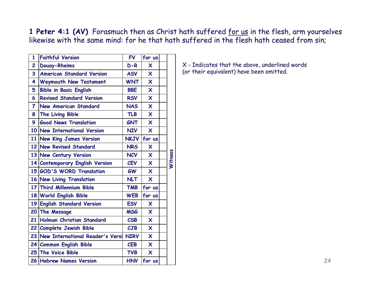1 Peter 4:1 (AV) Forasmuch then as Christ hath suffered for us in the flesh, arm yourselves likewise with the same mind: for he that hath suffered in the flesh hath ceased from sin;

| 1                       | <b>Faithful Version</b>             | <b>FV</b>                | for us                    |         |
|-------------------------|-------------------------------------|--------------------------|---------------------------|---------|
| $\overline{c}$          | <b>Douay-Rheims</b>                 | $D-R$                    | X                         |         |
| $\overline{\mathbf{3}}$ | <b>American Standard Version</b>    | <b>ASV</b>               | $\overline{\mathsf{x}}$   |         |
| 4                       | Weymouth New Testament              | <b>WNT</b>               | $\mathsf{x}$              |         |
| 5                       | <b>Bible in Basic English</b>       | <b>BBE</b>               | $\overline{\mathsf{x}}$   |         |
| 6                       | <b>Revised Standard Version</b>     | <b>RSV</b>               | $\overline{\mathsf{x}}$   |         |
| $\overline{\mathbf{7}}$ | <b>New American Standard</b>        | <b>NAS</b>               | $\mathsf{x}$              |         |
| 8                       | The Living Bible                    | <b>TLB</b>               | $\mathsf{x}$              |         |
| 9                       | <b>Good News Translation</b>        | <b>GNT</b>               | $\boldsymbol{\mathsf{X}}$ |         |
|                         | 10 New International Version        | <b>NIV</b>               | $\boldsymbol{\mathsf{x}}$ |         |
|                         | 11 New King James Version           |                          | NKJV for us               |         |
|                         | 12 New Revised Standard             | <b>NRS</b>               | $\overline{\mathsf{x}}$   |         |
|                         | 13 New Century Version              | <b>NCV</b>               | $\mathsf{x}$              |         |
|                         | 14 Contemporary English Version     | <b>CEV</b>               | $\overline{\mathsf{x}}$   | Witness |
|                         | 15 GOD'S WORD Translation           | <b>GW</b>                | $\mathsf{x}$              |         |
|                         | 16 New Living Translation           | <b>NLT</b>               | $\boldsymbol{\mathsf{X}}$ |         |
|                         | 17 Third Millennium Bible           | <b>TMB</b>               | for us                    |         |
|                         | 18 World English Bible              | <b>WEB</b>               | for us                    |         |
|                         | 19 English Standard Version         | <b>ESV</b>               | $\boldsymbol{\mathsf{X}}$ |         |
|                         | 20 The Message                      | <b>MSG</b>               | $\mathsf{x}$              |         |
| 21                      | Holman Christian Standard           | $\mathcal{C}\mathsf{SB}$ | $\overline{\mathsf{x}}$   |         |
|                         | 22 Complete Jewish Bible            | CJB                      | $\mathsf{x}$              |         |
|                         | 23 New International Reader's Versi | <b>NIRV</b>              | $\boldsymbol{\mathsf{X}}$ |         |
|                         | 24 Common English Bible             | <b>CEB</b>               | $\mathsf{x}$              |         |
|                         | 25 The Voice Bible                  | <b>TVB</b>               | $\mathsf{x}$              |         |
|                         | 26 Hebrew Names Version             | <b>HNV</b>               | for us                    |         |
|                         |                                     |                          |                           |         |

X - Indicates that the above, underlined words (or their equivalent) have been omitted.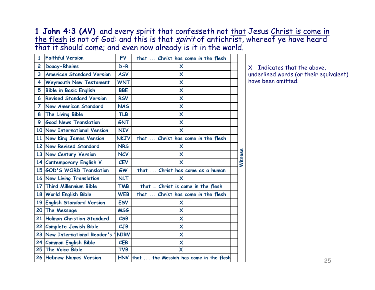**1 John 4:3 (AV)** and every spirit that confesseth not that Jesus Christ is come in <u>the flesh</u> is not of God: and this is that *spirit* of antichrist, whereof ye have heard that it should come; and even now already is it in the world.

| $\mathbf{1}$   | <b>Faithful Version</b>          | <b>FV</b>   | that  Christ has come in the flesh          |         |
|----------------|----------------------------------|-------------|---------------------------------------------|---------|
| $\overline{c}$ | <b>Douay-Rheims</b>              | $D-R$       | $\boldsymbol{\mathsf{x}}$                   |         |
| 3              | <b>American Standard Version</b> | <b>ASV</b>  | $\boldsymbol{\mathsf{x}}$                   |         |
| 4              | <b>Weymouth New Testament</b>    | <b>WNT</b>  | X                                           |         |
| 5              | <b>Bible in Basic English</b>    | <b>BBE</b>  | X                                           |         |
| 6              | <b>Revised Standard Version</b>  | <b>RSV</b>  | X                                           |         |
| $\overline{7}$ | <b>New American Standard</b>     | <b>NAS</b>  | $\boldsymbol{\mathsf{x}}$                   |         |
| 8              | The Living Bible                 | <b>TLB</b>  | X                                           |         |
| 9              | <b>Good News Translation</b>     | <b>GNT</b>  | X                                           |         |
|                | 10 New International Version     | <b>NIV</b>  | X                                           |         |
|                | 11 New King James Version        | <b>NKJV</b> | that  Christ has come in the flesh          |         |
|                | 12 New Revised Standard          | <b>NRS</b>  | X                                           |         |
|                | 13 New Century Version           | <b>NCV</b>  | $\boldsymbol{\mathsf{X}}$                   |         |
|                | 14 Contemporary English V.       | <b>CEV</b>  | X                                           | Witness |
|                | 15 GOD'S WORD Translation        | <b>GW</b>   | that  Christ has come as a human            |         |
|                | 16 New Living Translation        | <b>NLT</b>  | X                                           |         |
|                | 17 Third Millennium Bible        | <b>TMB</b>  | that  Christ is come in the flesh           |         |
|                | 18 World English Bible           | <b>WEB</b>  | that  Christ has come in the flesh          |         |
|                | 19 English Standard Version      | <b>ESV</b>  | X                                           |         |
|                | 20 The Message                   | <b>MSG</b>  | X                                           |         |
|                | 21 Holman Christian Standard     | <b>CSB</b>  | $\boldsymbol{\mathsf{x}}$                   |         |
| 22             | <b>Complete Jewish Bible</b>     | CJB         | $\boldsymbol{\mathsf{x}}$                   |         |
|                | 23 New International Reader's    | <b>NIRV</b> | X                                           |         |
|                | 24 Common English Bible          | <b>CEB</b>  | $\boldsymbol{\mathsf{x}}$                   |         |
|                | 25 The Voice Bible               | <b>TVB</b>  | $\overline{\mathsf{x}}$                     |         |
|                | 26 Hebrew Names Version          |             | HNV that  the Messiah has come in the flesh |         |

X - Indicates that the above, underlined words (or their equivalent) have been omitted.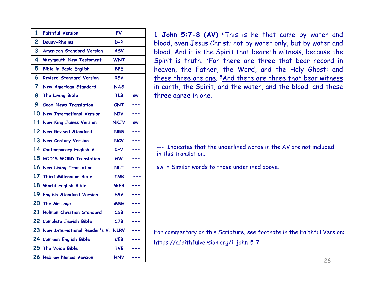| $\overline{\mathbf{1}}$ | <b>Faithful Version</b>            | <b>FV</b>   | $- - -$                  |
|-------------------------|------------------------------------|-------------|--------------------------|
| $\overline{c}$          | <b>Douay-Rheims</b>                | $D-R$       | ---                      |
| 3                       | <b>American Standard Version</b>   | <b>ASV</b>  | ---                      |
| 4                       | <b>Weymouth New Testament</b>      | <b>WNT</b>  | ---                      |
| 5                       | <b>Bible in Basic English</b>      | <b>BBE</b>  |                          |
| 6                       | <b>Revised Standard Version</b>    | <b>RSV</b>  | $- - -$                  |
| $\overline{7}$          | <b>New American Standard</b>       | <b>NAS</b>  |                          |
| 8                       | The Living Bible                   | <b>TLB</b>  | <b>SW</b>                |
| 9                       | <b>Good News Translation</b>       | <b>GNT</b>  | ---                      |
| 10 <sub>l</sub>         | <b>New International Version</b>   | <b>NIV</b>  | ---                      |
| 11                      | <b>New King James Version</b>      | <b>NKJV</b> | <b>SW</b>                |
| 12                      | <b>New Revised Standard</b>        | <b>NRS</b>  | $- - -$                  |
| 13                      | <b>New Century Version</b>         | <b>NCV</b>  | $- - -$                  |
| 14                      | Contemporary English V.            | <b>CEV</b>  | $- - -$                  |
|                         | 15 GOD'S WORD Translation          | <b>GW</b>   | ---                      |
|                         | 16 New Living Translation          | <b>NLT</b>  | ---                      |
|                         | 17 Third Millennium Bible          | <b>TMB</b>  | ---                      |
|                         | 18 World English Bible             | <b>WEB</b>  | ---                      |
|                         | 19 English Standard Version        | <b>ESV</b>  | ---                      |
| 20                      | The Message                        | <b>MSG</b>  | $\overline{\phantom{a}}$ |
| 21                      | Holman Christian Standard          | CSB         | $\overline{a}$           |
| 22                      | <b>Complete Jewish Bible</b>       | CJB         |                          |
| 23                      | New International Reader's V. NIRV |             | ---                      |
|                         | 24 Common English Bible            | <b>CEB</b>  | ---                      |
|                         | 25 The Voice Bible                 | <b>TVB</b>  | ---                      |
| 26                      | <b>Hebrew Names Version</b>        | <b>HNV</b>  | ---                      |

**1 John 5:7-8 (AV)** 6This is he that came by water and blood, even Jesus Christ; not by water only, but by water and blood. And it is the Spirit that beareth witness, because the Spirit is truth. <sup>7</sup>For there are three that bear record <u>in</u> heaven, the Father, the Word, and the Holy Ghost: and these three are one. <sup>8</sup>And there are three that bear witness in earth, the Spirit, and the water, and the blood: and these three agree in one.

--- Indicates that the underlined words in the AV are not includedin this translation.

sw = Similar words to those underlined above.

For commentary on this Scripture, see footnote in the Faithful Version: https://afaithfulversion.org/1-john-5-7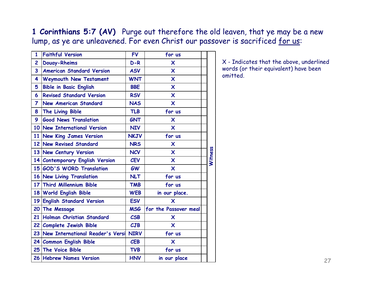**1 Corinthians 5:7 (AV)** Purge out therefore the old leaven, that ye may be a new lump, as ye are unleavened. For even Christ our passover is sacrificed for us:

| $\mathbf{1}$   | <b>Faithful Version</b>             | <b>FV</b>                         | for us                    |         |
|----------------|-------------------------------------|-----------------------------------|---------------------------|---------|
| $\overline{2}$ | <b>Douay-Rheims</b>                 | $D-R$                             | $\boldsymbol{\mathsf{x}}$ |         |
| 3              | <b>American Standard Version</b>    | <b>ASV</b>                        | $\boldsymbol{\mathsf{X}}$ |         |
| 4              | Weymouth New Testament              | <b>WNT</b>                        | $\boldsymbol{\mathsf{x}}$ |         |
| 5              | <b>Bible in Basic English</b>       | <b>BBE</b>                        | $\boldsymbol{\mathsf{x}}$ |         |
| 6              | <b>Revised Standard Version</b>     | <b>RSV</b>                        | X                         |         |
| $\overline{7}$ | <b>New American Standard</b>        | <b>NAS</b>                        | $\overline{\mathsf{x}}$   |         |
| 8              | The Living Bible                    | <b>TLB</b>                        | for us                    |         |
| 9              | <b>Good News Translation</b>        | <b>GNT</b>                        | X                         |         |
|                | 10 New International Version        | <b>NIV</b>                        | $\boldsymbol{\mathsf{x}}$ |         |
|                | 11 New King James Version           | <b>NKJV</b>                       | for us                    |         |
|                | 12 New Revised Standard             | <b>NRS</b>                        | $\boldsymbol{\mathsf{x}}$ |         |
|                | 13 New Century Version              | <b>NCV</b>                        | $\boldsymbol{\mathsf{x}}$ | Witness |
|                | 14 Contemporary English Version     | <b>CEV</b>                        | $\overline{\mathsf{x}}$   |         |
|                | 15 GOD'S WORD Translation           | <b>GW</b>                         | $\boldsymbol{\mathsf{x}}$ |         |
|                | 16 New Living Translation           | <b>NLT</b>                        | for us                    |         |
|                | 17 Third Millennium Bible           | <b>TMB</b>                        | for us                    |         |
|                | 18 World English Bible              | <b>WEB</b>                        | in our place.             |         |
| 19             | <b>English Standard Version</b>     | <b>ESV</b>                        | X                         |         |
|                | 20 The Message                      | <b>MSG</b>                        | for the Passover meal     |         |
| 21             | Holman Christian Standard           | $\mathcal{C}\mathsf{S}\mathsf{B}$ | X                         |         |
|                | 22 Complete Jewish Bible            | CJB                               | $\overline{\mathsf{x}}$   |         |
|                | 23 New International Reader's Versi | <b>NIRV</b>                       | for us                    |         |
|                | 24 Common English Bible             | <b>CEB</b>                        | X                         |         |
|                | 25 The Voice Bible                  | <b>TVB</b>                        | for us                    |         |
|                | 26 Hebrew Names Version             | <b>HNV</b>                        | in our place              |         |
|                |                                     |                                   |                           |         |

X - Indicates that the above, underlined words (or their equivalent) have been omitted.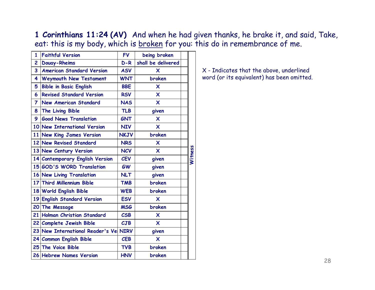**1 Corinthians 11:24 (AV)** And when he had given thanks, he brake it, and said, Take, eat: this is my body, which is broken for you: this do in remembrance of me.

| $\overline{1}$          | <b>Faithful Version</b>          | <b>FV</b>   | being broken              |         |
|-------------------------|----------------------------------|-------------|---------------------------|---------|
| $\overline{c}$          | <b>Douay-Rheims</b>              | $D-R$       | shall be delivered        |         |
| $\overline{\mathbf{3}}$ | <b>American Standard Version</b> | <b>ASV</b>  | X                         |         |
| 4                       | <b>Weymouth New Testament</b>    | <b>WNT</b>  | broken                    |         |
| 5                       | <b>Bible in Basic English</b>    | <b>BBE</b>  | X                         |         |
| 6                       | <b>Revised Standard Version</b>  | <b>RSV</b>  | $\boldsymbol{\mathsf{X}}$ |         |
| $\overline{7}$          | <b>New American Standard</b>     | <b>NAS</b>  | $\overline{\mathsf{x}}$   |         |
| 8                       | The Living Bible                 | <b>TLB</b>  | given                     |         |
| 9                       | <b>Good News Translation</b>     | <b>GNT</b>  | $\mathsf{x}$              |         |
|                         | 10 New International Version     | <b>NIV</b>  | $\boldsymbol{\mathsf{X}}$ |         |
|                         | 11 New King James Version        | <b>NKJV</b> | broken                    |         |
|                         | 12 New Revised Standard          | <b>NRS</b>  | X                         |         |
|                         | 13 New Century Version           | <b>NCV</b>  | $\mathsf{x}$              |         |
|                         | 14 Contemporary English Version  | <b>CEV</b>  | given                     | Witness |
|                         | 15 GOD'S WORD Translation        | <b>GW</b>   | given                     |         |
|                         | 16 New Living Translation        | <b>NLT</b>  | given                     |         |
|                         | 17 Third Millennium Bible        | <b>TMB</b>  | broken                    |         |
|                         | 18 World English Bible           | <b>WEB</b>  | broken                    |         |
|                         | 19 English Standard Version      | <b>ESV</b>  | X                         |         |
|                         | 20 The Message                   | <b>MSG</b>  | broken                    |         |
| 21                      | Holman Christian Standard        | <b>CSB</b>  | $\overline{\mathsf{x}}$   |         |
|                         | 22 Complete Jewish Bible         | CJB         | $\overline{\mathsf{x}}$   |         |
|                         | 23 New International Reader's Ve | <b>NIRV</b> | given                     |         |
|                         | 24 Common English Bible          | <b>CEB</b>  | X                         |         |
|                         | 25 The Voice Bible               | <b>TVB</b>  | broken                    |         |
|                         | 26 Hebrew Names Version          | <b>HNV</b>  | broken                    |         |
|                         |                                  |             |                           |         |

X - Indicates that the above, underlined word (or its equivalent) has been omitted.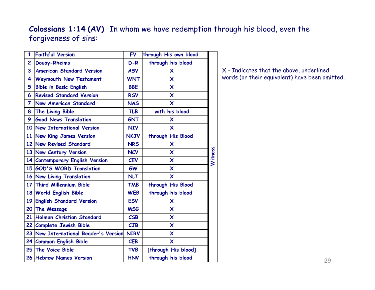### **Colossians 1:14 (AV)** In whom we have redemption through his blood, even the forgiveness of sins:

| $\mathbf{1}$    | <b>Faithful Version</b>             | <b>FV</b>   | through His own blood     |         |
|-----------------|-------------------------------------|-------------|---------------------------|---------|
| 2               | <b>Douay-Rheims</b>                 | $D-R$       | through his blood         |         |
| 3               | <b>American Standard Version</b>    | <b>ASV</b>  | X                         |         |
| 4               | Weymouth New Testament              | <b>WNT</b>  | X                         |         |
| 5               | <b>Bible in Basic English</b>       | <b>BBE</b>  | X                         |         |
| 6               | <b>Revised Standard Version</b>     | <b>RSV</b>  | $\boldsymbol{\mathsf{x}}$ |         |
| 7               | <b>New American Standard</b>        | <b>NAS</b>  | X                         |         |
| 8               | The Living Bible                    | <b>TLB</b>  | with his blood            |         |
| 9               | <b>Good News Translation</b>        | <b>GNT</b>  | X                         |         |
|                 | 10 New International Version        | <b>NIV</b>  | $\boldsymbol{\mathsf{x}}$ |         |
| 11 <sup>1</sup> | <b>New King James Version</b>       | <b>NKJV</b> | through His Blood         |         |
| 12 <sup>1</sup> | <b>New Revised Standard</b>         | <b>NRS</b>  | X                         |         |
|                 | 13 New Century Version              | <b>NCV</b>  | $\boldsymbol{\mathsf{x}}$ |         |
| 14              | <b>Contemporary English Version</b> | <b>CEV</b>  | $\boldsymbol{\mathsf{x}}$ | Witness |
|                 | 15 GOD'S WORD Translation           | <b>GW</b>   | $\boldsymbol{\mathsf{x}}$ |         |
|                 | 16 New Living Translation           | <b>NLT</b>  | X                         |         |
|                 | 17 Third Millennium Bible           | <b>TMB</b>  | through His Blood         |         |
| 18 l            | <b>World English Bible</b>          | <b>WEB</b>  | through his blood         |         |
| 19 l            | <b>English Standard Version</b>     | <b>ESV</b>  | X                         |         |
| 20 <sub>1</sub> | The Message                         | <b>MSG</b>  | $\boldsymbol{\mathsf{X}}$ |         |
| 21              | Holman Christian Standard           | <b>CSB</b>  | $\boldsymbol{\mathsf{x}}$ |         |
| 22 <sub>1</sub> | <b>Complete Jewish Bible</b>        | CJB         | X                         |         |
| 23              | New International Reader's Version  | <b>NIRV</b> | $\overline{\mathsf{x}}$   |         |
|                 | 24 Common English Bible             | <b>CEB</b>  | $\boldsymbol{\mathsf{x}}$ |         |
| 25              | <b>The Voice Bible</b>              | <b>TVB</b>  | [through His blood]       |         |
|                 | 26 Hebrew Names Version             | <b>HNV</b>  | through his blood         |         |

X - Indicates that the above, underlined words (or their equivalent) have been omitted.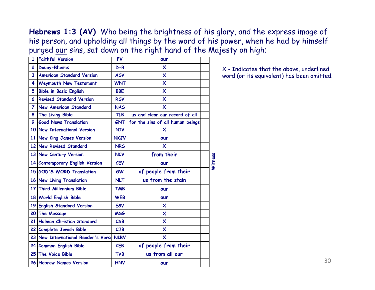**Hebrews 1:3 (AV)** Who being the brightness of his glory, and the express image of his person, and upholding all things by the word of his power, when he had by himself purged our sins, sat down on the right hand of the Majesty on high;

| 1               | <b>Faithful Version</b>             | <b>FV</b>   | our                              |         |
|-----------------|-------------------------------------|-------------|----------------------------------|---------|
| $\overline{c}$  | <b>Douay-Rheims</b>                 | $D-R$       | X                                |         |
| 3               | <b>American Standard Version</b>    | <b>ASV</b>  | $\boldsymbol{\mathsf{x}}$        |         |
| 4               | Weymouth New Testament              | <b>WNT</b>  | X                                |         |
| 5               | <b>Bible in Basic English</b>       | <b>BBE</b>  | $\boldsymbol{\mathsf{x}}$        |         |
| 6               | <b>Revised Standard Version</b>     | <b>RSV</b>  | $\boldsymbol{\mathsf{X}}$        |         |
| 7               | <b>New American Standard</b>        | <b>NAS</b>  | $\boldsymbol{\mathsf{x}}$        |         |
| 8               | The Living Bible                    | <b>TLB</b>  | us and clear our record of all   |         |
| 9               | <b>Good News Translation</b>        | <b>GNT</b>  | for the sins of all human beings |         |
| 10              | New International Version           | <b>NIV</b>  | X                                |         |
|                 | 11 New King James Version           | <b>NKJV</b> | our                              |         |
|                 | 12 New Revised Standard             | <b>NRS</b>  | X                                |         |
|                 | 13 New Century Version              | <b>NCV</b>  | from their                       |         |
|                 | 14 Contemporary English Version     | <b>CEV</b>  | our                              | Witness |
|                 | 15 GOD'S WORD Translation           | <b>GW</b>   | of people from their             |         |
|                 | 16 New Living Translation           | <b>NLT</b>  | us from the stain                |         |
| 17 <sup>1</sup> | <b>Third Millennium Bible</b>       | <b>TMB</b>  | our                              |         |
|                 | 18 World English Bible              | <b>WEB</b>  | our                              |         |
| 19 <sup>1</sup> | <b>English Standard Version</b>     | <b>ESV</b>  | X                                |         |
| 20              | The Message                         | <b>MSG</b>  | $\boldsymbol{\mathsf{x}}$        |         |
| 21              | Holman Christian Standard           | CSB         | $\overline{\mathsf{x}}$          |         |
|                 | 22 Complete Jewish Bible            | CJB         | $\boldsymbol{\mathsf{x}}$        |         |
|                 | 23 New International Reader's Versi | <b>NIRV</b> | X                                |         |
|                 | 24 Common English Bible             | <b>CEB</b>  | of people from their             |         |
|                 | 25 The Voice Bible                  | <b>TVB</b>  | us from all our                  |         |
|                 | 26 Hebrew Names Version             | <b>HNV</b>  | our                              |         |

X - Indicates that the above, underlined word (or its equivalent) has been omitted.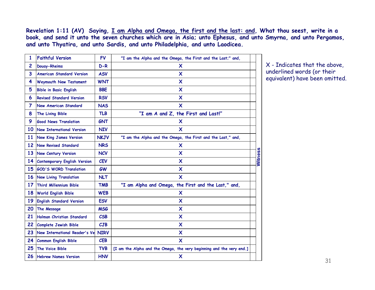**Revelation 1:11 (AV) Saying, I am Alpha and Omega, the first and the last: and, What thou seest, write in a book, and send it unto the seven churches which are in Asia; unto Ephesus, and unto Smyrna, and unto Pergamos, and unto Thyatira, and unto Sardis, and unto Philadelphia, and unto Laodicea.**

| 1                       | <b>Faithful Version</b>             | <b>FV</b>   | "I am the Alpha and the Omega, the First and the Last;" and,         |         |
|-------------------------|-------------------------------------|-------------|----------------------------------------------------------------------|---------|
| 2                       | Douay-Rheims                        | $D-R$       | X                                                                    |         |
| $\overline{\mathbf{3}}$ | <b>American Standard Version</b>    | <b>ASV</b>  | X                                                                    |         |
| 4                       | Weymouth New Testament              | <b>WNT</b>  | X                                                                    |         |
| 5                       | <b>Bible in Basic English</b>       | <b>BBE</b>  | X                                                                    |         |
| 6                       | <b>Revised Standard Version</b>     | <b>RSV</b>  | X                                                                    |         |
| 7                       | New American Standard               | <b>NAS</b>  | X                                                                    |         |
| 8                       | The Living Bible                    | <b>TLB</b>  | "I am A and Z, the First and Last!"                                  |         |
| 9                       | <b>Good News Translation</b>        | <b>GNT</b>  | X                                                                    |         |
| 10                      | New International Version           | <b>NIV</b>  | X                                                                    |         |
| 11                      | <b>New King James Version</b>       | <b>NKJV</b> | "I am the Alpha and the Omega, the First and the Last," and,         |         |
| 12                      | <b>New Revised Standard</b>         | <b>NRS</b>  | X                                                                    |         |
| 13                      | <b>New Century Version</b>          | <b>NCV</b>  | X                                                                    | Witness |
| 14                      | <b>Contemporary English Version</b> | <b>CEV</b>  | X                                                                    |         |
| 15                      | <b>GOD'S WORD Translation</b>       | <b>GW</b>   | X                                                                    |         |
| 16                      | <b>New Living Translation</b>       | <b>NLT</b>  | $\boldsymbol{\mathsf{x}}$                                            |         |
| 17                      | <b>Third Millennium Bible</b>       | <b>TMB</b>  | "I am Alpha and Omega, the First and the Last," and,                 |         |
| 18                      | <b>World English Bible</b>          | <b>WEB</b>  | X                                                                    |         |
| 19                      | <b>English Standard Version</b>     | <b>ESV</b>  | X                                                                    |         |
| 20                      | The Message                         | <b>MSG</b>  | X                                                                    |         |
| 21                      | Holman Christian Standard           | <b>CSB</b>  | X                                                                    |         |
| 22                      | <b>Complete Jewish Bible</b>        | CJB         | $\boldsymbol{\mathsf{x}}$                                            |         |
| 23                      | New International Reader's Ve       | <b>NIRV</b> | $\boldsymbol{\mathsf{X}}$                                            |         |
| 24                      | <b>Common English Bible</b>         | <b>CEB</b>  | $\boldsymbol{\mathsf{x}}$                                            |         |
| 25                      | <b>The Voice Bible</b>              | <b>TVB</b>  | [I am the Alpha and the Omega, the very beginning and the very end.] |         |
| 26                      | <b>Hebrew Names Version</b>         | <b>HNV</b>  | X                                                                    |         |

X - Indicates that the above, underlined words (or their equivalent) have been omitted.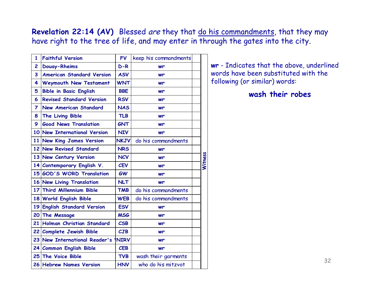**Revelation 22:14 (AV)** Blessed are they that do his commandments, that they may have right to the tree of life, and may enter in through the gates into the city.

| 1              | <b>Faithful Version</b>          | <b>FV</b>   | keep his commandments |         |
|----------------|----------------------------------|-------------|-----------------------|---------|
| $\overline{c}$ | <b>Douay-Rheims</b>              | $D-R$       | wr                    |         |
| 3              | <b>American Standard Version</b> | <b>ASV</b>  | wr                    |         |
| 4              | <b>Weymouth New Testament</b>    | <b>WNT</b>  | wr                    |         |
| 5              | <b>Bible in Basic English</b>    | <b>BBE</b>  | wr                    |         |
| 6              | <b>Revised Standard Version</b>  | <b>RSV</b>  | wr                    |         |
| $\overline{7}$ | <b>New American Standard</b>     | <b>NAS</b>  | wr                    |         |
| 8              | The Living Bible                 | <b>TLB</b>  | wr                    |         |
| 9              | <b>Good News Translation</b>     | <b>GNT</b>  | wr                    |         |
|                | 10 New International Version     | <b>NIV</b>  | wr                    |         |
|                | 11 New King James Version        | <b>NKJV</b> | do his commandments   |         |
|                | 12 New Revised Standard          | <b>NRS</b>  | wr                    |         |
|                | 13 New Century Version           | <b>NCV</b>  | wr                    | Witness |
|                | 14 Contemporary English V.       | <b>CEV</b>  | wr                    |         |
|                | 15 GOD'S WORD Translation        | <b>GW</b>   | wr                    |         |
|                | 16 New Living Translation        | <b>NLT</b>  | wr                    |         |
|                | 17 Third Millennium Bible        | <b>TMB</b>  | do his commandments   |         |
|                | 18 World English Bible           | <b>WEB</b>  | do his commandments   |         |
|                | 19 English Standard Version      | <b>ESV</b>  | wr                    |         |
|                | 20 The Message                   | <b>MSG</b>  | wr                    |         |
|                | 21 Holman Christian Standard     | <b>CSB</b>  | wr                    |         |
|                | 22 Complete Jewish Bible         | CJB         | wr                    |         |
|                | 23 New International Reader's    | <b>NIRV</b> | wr                    |         |
|                | 24 Common English Bible          | <b>CEB</b>  | wr                    |         |
|                | 25 The Voice Bible               | <b>TVB</b>  | wash their garments   |         |
|                | 26 Hebrew Names Version          | <b>HNV</b>  | who do his mitzvot    |         |

**wr** - Indicates that the above, underlined words have been substituted with the following (or similar) words:

#### **wash their robes**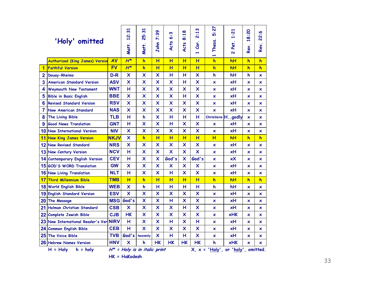|                | 'Holy' omitted                         |             | $\overline{5}$<br>$\ddot{2}$<br>Matt. | $\overline{5}$<br><b>25:</b><br>Matt. | ၷ<br>$\ddot{\kappa}$<br>John | w<br>ة<br><b>Acts</b>     | 8:18<br>Acts              | 2:13<br>Cor.<br>÷         | 72<br>ιö<br>Thess.<br>÷   | 1:21<br>Pet.<br>$\overline{\mathbf{v}}$ | 18:20<br>Rev. | 22:6<br>Rev.              |
|----------------|----------------------------------------|-------------|---------------------------------------|---------------------------------------|------------------------------|---------------------------|---------------------------|---------------------------|---------------------------|-----------------------------------------|---------------|---------------------------|
|                | <b>Authorized (King James) Version</b> | <b>AV</b>   | $H^*$                                 | $\overline{h}$                        | H                            | H                         | H                         | H                         | h                         | hH                                      | $\mathsf{h}$  | $\mathsf{h}$              |
| 1              | <b>Faithful Version</b>                | <b>FV</b>   | $H^*$                                 | $\overline{h}$                        | H                            | H                         | H                         | H                         | $\overline{\mathsf{h}}$   | hH                                      | $\mathsf{h}$  | $\overline{\mathsf{h}}$   |
| $\overline{2}$ | <b>Douay-Rheims</b>                    | D-R         | X                                     | X                                     | X                            | н                         | н                         | X                         | h                         | hΗ                                      | h             | ×                         |
| 3              | <b>American Standard Version</b>       | <b>ASV</b>  | $\boldsymbol{\mathsf{x}}$             | X                                     | $\overline{\mathsf{x}}$      | $\boldsymbol{\mathsf{x}}$ | н                         | $\boldsymbol{\mathsf{x}}$ | $\boldsymbol{\mathsf{x}}$ | xН                                      | ×             | ×                         |
| 4              | <b>Weymouth New Testament</b>          | <b>WNT</b>  | н                                     | X                                     | $\boldsymbol{\mathsf{x}}$    | $\boldsymbol{\mathsf{x}}$ | $\boldsymbol{\mathsf{x}}$ | $\boldsymbol{\mathsf{x}}$ | ×                         | xН                                      | ×             | ×                         |
| 5              | <b>Bible in Basic English</b>          | <b>BBE</b>  | X                                     | X                                     | X                            | X                         | н                         | X                         | $\mathsf{x}$              | xН                                      | ×             | $\boldsymbol{\mathsf{x}}$ |
| 6              | <b>Revised Standard Version</b>        | <b>RSV</b>  | X                                     | X                                     | $\boldsymbol{\mathsf{x}}$    | $\boldsymbol{\mathsf{x}}$ | $\boldsymbol{\mathsf{x}}$ | $\boldsymbol{\mathsf{x}}$ | ×                         | xН                                      | ×             | $\boldsymbol{\mathsf{x}}$ |
| 7              | New American Standard                  | <b>NAS</b>  | X                                     | X                                     | $\boldsymbol{\mathsf{x}}$    | $\overline{\mathsf{x}}$   | $\boldsymbol{\mathsf{x}}$ | $\boldsymbol{\mathsf{x}}$ | $\overline{\mathsf{x}}$   | xH                                      | ×             | $\boldsymbol{\mathsf{x}}$ |
| 8              | The Living Bible                       | <b>TLB</b>  | н                                     | h                                     | X                            | н                         | н                         | н                         | Christians <sup>H</sup> . | .godly                                  | ×             | ×                         |
| 9              | <b>Good News Translation</b>           | <b>GNT</b>  | н                                     | X                                     | $\boldsymbol{\mathsf{x}}$    | н                         | $\boldsymbol{\mathsf{x}}$ | X                         | ×                         | xН                                      | ×             | $\boldsymbol{\mathsf{x}}$ |
|                | 10 New International Version           | <b>NIV</b>  | X                                     | X                                     | $\overline{\mathsf{x}}$      | $\overline{\mathsf{x}}$   | $\boldsymbol{\mathsf{x}}$ | $\boldsymbol{\mathsf{x}}$ | ×                         | xH                                      | ×             | $\boldsymbol{\mathsf{x}}$ |
| 11             | <b>New King James Version</b>          | <b>NKJV</b> | $\boldsymbol{\mathsf{x}}$             | h                                     | H                            | H                         | $\overline{H}$            | H                         | H                         | hH                                      | h             | h                         |
| 12             | <b>New Revised Standard</b>            | <b>NRS</b>  | X                                     | X                                     | X                            | X                         | X                         | X                         | ×                         | xН                                      | ×             | ×                         |
| 13             | <b>New Century Version</b>             | <b>NCV</b>  | н                                     | X                                     | $\boldsymbol{\mathsf{x}}$    | $\overline{\mathsf{x}}$   | $\boldsymbol{\mathsf{x}}$ | $\overline{\mathsf{x}}$   | $\boldsymbol{\mathsf{x}}$ | xН                                      | ×             | ×                         |
| 14             | <b>Contemporary English Version</b>    | <b>CEV</b>  | н                                     | X                                     | X                            | God's                     | X                         | God's                     | ×                         | xX                                      | ×             | ×                         |
|                | 15 GOD'S WORD Translation              | <b>GW</b>   | X                                     | X                                     | X                            | X                         | X                         | X                         | ×                         | xH                                      | ×             | $\boldsymbol{\mathsf{x}}$ |
|                | 16 New Living Translation              | <b>NLT</b>  | н                                     | X                                     | $\boldsymbol{\mathsf{x}}$    | H                         | $\overline{\mathsf{x}}$   | $\boldsymbol{\mathsf{x}}$ | ×                         | xН                                      | ×             | ×                         |
| 17             | <b>Third Millennium Bible</b>          | <b>TMB</b>  | H                                     | $\mathsf{h}$                          | H                            | H                         | H                         | H                         | $\overline{\mathsf{h}}$   | hH                                      | h             | $\overline{\mathsf{h}}$   |
| 18             | <b>World English Bible</b>             | <b>WEB</b>  | x                                     | h                                     | н                            | н                         | н                         | н                         | h                         | hН                                      | ×             | ×                         |
| 19             | <b>English Standard Version</b>        | <b>ESV</b>  | X                                     | X                                     | X                            | X                         | X                         | X                         | ×.                        | xH                                      | ×             | $\boldsymbol{\mathsf{x}}$ |
| 20             | The Message                            | <b>MSG</b>  | God's                                 | X                                     | $\boldsymbol{\mathsf{x}}$    | н                         | $\overline{\mathsf{x}}$   | X                         | ×                         | xH                                      | ×             | $\boldsymbol{\mathsf{x}}$ |
| 21             | Holman Christian Standard              | <b>CSB</b>  | $\overline{\mathsf{x}}$               | X                                     | $\boldsymbol{\mathsf{x}}$    | $\boldsymbol{\mathsf{x}}$ | H                         | $\boldsymbol{\mathsf{x}}$ | ×                         | xH                                      | ×             | ×                         |
| 22             | <b>Complete Jewish Bible</b>           | <b>CJB</b>  | <b>HK</b>                             | X                                     | $\boldsymbol{\mathsf{x}}$    | $\boldsymbol{\mathsf{x}}$ | $\boldsymbol{\mathsf{x}}$ | $\boldsymbol{\mathsf{x}}$ | ×                         | <b>xHK</b>                              | ×             | $\boldsymbol{\mathsf{x}}$ |
| 23             | New International Reader's Ver NIRV    |             | н                                     | X                                     | $\boldsymbol{\mathsf{x}}$    | н                         | $\boldsymbol{\mathsf{x}}$ | н                         | $\boldsymbol{\mathsf{x}}$ | xН                                      | ×             | ×                         |
| 24             | <b>Common English Bible</b>            | <b>CEB</b>  | н                                     | X.                                    | X                            | X                         | $\boldsymbol{\mathsf{x}}$ | X                         | ×                         | xН                                      | ×             | ×                         |
| 25             | <b>The Voice Bible</b>                 | TVB.        | God's                                 | heavenly                              | X                            | н                         | н                         | X                         | ×                         | xН                                      | ×             | $\boldsymbol{\mathsf{x}}$ |
|                | 26 Hebrew Names Version                | <b>HNV</b>  | X                                     | h                                     | <b>HK</b>                    | <b>HK</b>                 | <b>HK</b>                 | <b>HK</b>                 | h                         | <b>xHK</b>                              | ×             | ×                         |
|                | $H =$ Holy<br>$h = holy$               |             |                                       | $H^*$ = Holy is in italic print       |                              |                           |                           |                           |                           | $X, x = 'Holy', or 'holy', omitted.$    |               |                           |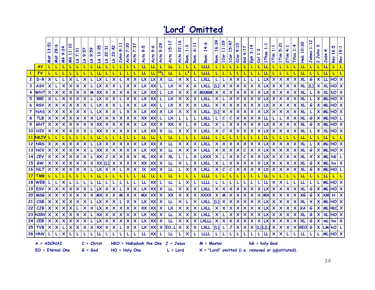## **'Lord' Omitted**

|                |               | 13:51                     | 28:6 | $\ddot{9}$                | 0<br>ū<br>$\Xi$      | 7:31                      | 9:57                      | $\ddot{5}$<br>$\sigma$    | 25<br>$\ddot{\tilde{}}$<br>$\blacksquare$ | 2:31<br>$\mathbf{N}$ | 23:42                     | 8:11                      | 7:30                      | 7:37                      | 9:5                    | 9:6         | 9:29                      | $\frac{1}{5}$<br>$\overline{\phantom{0}}$ | ∾<br>22:1                 | ო<br>$\overline{\phantom{0}}$ | H<br>6:1                  | 14:6         | 16:24                                                                                                                                                                                                                                                                                                 | $\ddot{5}$<br>$\Xi$       | 5:47<br>÷                 | $\circ$<br>$\frac{1}{4}$  | :1<br>ة                   | 4<br>$\frac{1}{3}$        | ä<br>1         | ∺                         | ÷                         | ຆ<br>ä                    | 4Ï                        | Ä.<br>÷                   | ႙<br>ö<br>⊣ | H<br>÷                    | ო<br>John                 | 4              | စ<br>ۊ<br>$\blacksquare$ | $\sigma$<br>÷             |
|----------------|---------------|---------------------------|------|---------------------------|----------------------|---------------------------|---------------------------|---------------------------|-------------------------------------------|----------------------|---------------------------|---------------------------|---------------------------|---------------------------|------------------------|-------------|---------------------------|-------------------------------------------|---------------------------|-------------------------------|---------------------------|--------------|-------------------------------------------------------------------------------------------------------------------------------------------------------------------------------------------------------------------------------------------------------------------------------------------------------|---------------------------|---------------------------|---------------------------|---------------------------|---------------------------|----------------|---------------------------|---------------------------|---------------------------|---------------------------|---------------------------|-------------|---------------------------|---------------------------|----------------|--------------------------|---------------------------|
|                |               | Mat                       | Mat  | <b>XIV</b>                | $\tilde{\mathbf{z}}$ | 子                         | 子                         | £                         | Ě                                         | 긋                    | 当                         | John                      | Acts                      | <b>Acts</b>               | <b>Acts</b>            | <b>Acts</b> | Acts                      | <b>Acts</b>                               | <b>Acts</b>               | Rom                           | Rom.                      | Rom.         | Rom.                                                                                                                                                                                                                                                                                                  | 1Cor                      | 1Cor                      | 2Cor                      | $\overline{6}$            | 臣                         | $\overline{c}$ | 1Thes                     | 1Tim                      | 1Tim                      | 2Tim                      | Titus                     | <b>del</b>  | James                     | $\mathbf{v}$              | Jude           | Rev                      | Rev                       |
|                | AV            |                           |      |                           | υ                    |                           |                           | L                         | L                                         | L                    |                           |                           |                           | L                         | L                      | L           | L                         | L                                         |                           | L                             |                           | <b>LLLL</b>  | L                                                                                                                                                                                                                                                                                                     | L                         |                           | L                         |                           |                           |                |                           |                           |                           |                           |                           | LL          |                           |                           |                | L                        |                           |
| $\mathbf{1}$   | <b>FV</b>     |                           |      |                           | L                    |                           |                           |                           | Ш                                         |                      |                           |                           |                           | L                         | LL                     | L           | 28 <sub>l</sub>           | L                                         |                           | $L^4$                         |                           | LLLL         | L                                                                                                                                                                                                                                                                                                     |                           |                           | ι                         |                           |                           |                |                           |                           |                           |                           |                           | Ш           |                           |                           | Ш              |                          |                           |
| $\mathbf{2}$   | $D-R$         | X                         |      |                           | X                    |                           | X                         |                           |                                           |                      | X                         |                           | X                         | X                         | LX                     | LX          | X                         | Ц                                         | $\boldsymbol{\mathsf{x}}$ | $\boldsymbol{\mathsf{x}}$     |                           | <b>LXLL</b>  | L                                                                                                                                                                                                                                                                                                     |                           | X                         | X                         |                           |                           |                | $\boldsymbol{\mathsf{x}}$ | X                         | $\boldsymbol{\mathsf{x}}$ | X                         | X                         | XL          | G                         | X                         | Ш              | HOI                      | X                         |
| 3              | ASV           | X                         |      | $\boldsymbol{\mathsf{x}}$ | X                    | $\boldsymbol{\mathsf{x}}$ | $\boldsymbol{\mathsf{x}}$ |                           |                                           | X                    | X                         |                           | X                         | $\boldsymbol{\mathsf{x}}$ | LX                     | XX          | L                         | LX                                        | $\boldsymbol{\mathsf{x}}$ | $\boldsymbol{\mathsf{x}}$     | X                         | <b>LXLL</b>  | $[1] % \begin{center} % \includegraphics[width=\linewidth]{imagesSupplemental_3.png} % \end{center} % \caption { % Our method can be used for the method. % The method is used for the method. % The method is used for the method. % The method is used for the method. % } % \label{fig:example} %$ | X                         | $\boldsymbol{\mathsf{x}}$ | X                         | X                         | $\boldsymbol{\mathsf{x}}$ | x              | LХ                        | X                         | X                         | X                         | X                         | <b>XL</b>   | $[1]$                     | X                         | XL             | HOI                      | $\boldsymbol{\mathsf{x}}$ |
| 4              | WNT           | X                         | X    | $\boldsymbol{\mathsf{x}}$ | X                    | $\boldsymbol{\mathsf{x}}$ | X                         | M                         | XX                                        | X                    | X                         | X                         | X                         | $\boldsymbol{\mathsf{x}}$ | LX                     | XX          | L                         | LX                                        | X                         | X                             | X                         | <b>MXMM</b>  | $\boldsymbol{\mathsf{x}}$                                                                                                                                                                                                                                                                             | X                         | $\boldsymbol{\mathsf{x}}$ | X                         | X                         | X                         | X              | LX                        | $\boldsymbol{\mathsf{x}}$ | X                         | $\boldsymbol{\mathsf{x}}$ | X                         | XL          |                           | X                         | <b>XL</b>      | hO                       | X                         |
| 5              | <b>BBE</b>    | X                         |      | X                         | X                    | X                         | X                         |                           |                                           | X                    | x                         |                           | x                         | ×                         | LX                     | XX          | L                         | LX                                        | X                         | $\boldsymbol{\mathsf{x}}$     | X                         | <b>LXLL</b>  | X                                                                                                                                                                                                                                                                                                     |                           | X                         | X                         | X                         | X                         | x              | LX                        | X                         | X                         | X                         | х                         | XL          |                           | X                         | <b>ML</b>      | HO                       | $\boldsymbol{\mathsf{x}}$ |
| 6              | <b>RSV</b>    | X                         | X    | $\boldsymbol{\mathsf{x}}$ | X                    | X                         | X                         |                           | LХ                                        | X                    | X                         |                           | X                         | $\boldsymbol{\mathsf{x}}$ | LX                     | XX          | L                         | LX                                        | $\boldsymbol{\mathsf{x}}$ | X                             | X                         | <b>LXLL</b>  | X                                                                                                                                                                                                                                                                                                     | X                         | X                         | X                         | X                         | X                         | x              | LX                        | x                         | X                         | X.                        | Х                         | XL          | G                         | X                         | <b>ML</b>      | HO.                      | $\boldsymbol{\mathsf{x}}$ |
| $\overline{7}$ | <b>NAS</b>    | $\boldsymbol{\mathsf{x}}$ | X    | X                         | X                    | X                         | X                         |                           | LX                                        | X                    | X                         |                           | X                         | $\boldsymbol{\mathsf{x}}$ | LX                     | XX          | $\boldsymbol{\mathsf{x}}$ | LX                                        | $\boldsymbol{\mathsf{x}}$ | $\boldsymbol{\mathsf{x}}$     | $\boldsymbol{\mathsf{x}}$ | <b>LXLL</b>  | [L]                                                                                                                                                                                                                                                                                                   | $\boldsymbol{\mathsf{x}}$ | $\boldsymbol{\mathsf{x}}$ | X                         | X                         | $\boldsymbol{\mathsf{x}}$ | X              | LX                        | X                         | X                         | $\boldsymbol{\mathsf{x}}$ | X                         | XL          |                           | X                         | <b>ML</b>      | HO                       | $\boldsymbol{\mathsf{x}}$ |
| 8              | <b>TLB</b>    | $\boldsymbol{\mathsf{x}}$ | X    | $\boldsymbol{\mathsf{x}}$ | X                    | $\boldsymbol{\mathsf{x}}$ | X                         | $\boldsymbol{\mathsf{x}}$ | LX                                        | X                    | X                         | $\boldsymbol{\mathsf{x}}$ | X                         | $\boldsymbol{\mathsf{x}}$ | XX                     | XX          | L                         | LX                                        | L                         | L                             | L                         | <b>LXLL</b>  | L                                                                                                                                                                                                                                                                                                     | с                         | $\mathcal C$              | X                         | $\boldsymbol{\mathsf{x}}$ | X                         | X              | LL                        |                           | L                         | X.                        | X                         | XL          | G                         | X                         | <b>ML</b>      | HO                       |                           |
| 9              | GNT           | $\boldsymbol{\mathsf{x}}$ | X    | $\boldsymbol{\mathsf{x}}$ | X                    | X                         | X                         | $\boldsymbol{\mathsf{x}}$ | XX                                        | X                    | X                         | X                         | X                         | $\boldsymbol{\mathsf{x}}$ | LX                     | XX          | $\boldsymbol{\mathsf{x}}$ | XX                                        | X                         | L                             | X                         | <b>LXLL</b>  | X                                                                                                                                                                                                                                                                                                     |                           | $\boldsymbol{\mathsf{x}}$ | X                         | X                         | X                         | X              | LX                        | X                         | X                         | $\boldsymbol{\mathsf{x}}$ | X                         | XL          | G                         | X                         | <b>ML</b>      | HO                       | X                         |
| 10             | <b>NIV</b>    | X                         | X    | $\boldsymbol{\mathsf{x}}$ | X                    | $\boldsymbol{\mathsf{x}}$ | X                         |                           | XX                                        | X                    | X                         | $\boldsymbol{\mathsf{x}}$ | X                         | $\boldsymbol{\mathsf{x}}$ | LX                     | XX          | X                         | и                                         | X                         | X                             | X                         | <b>LXLL</b>  | X                                                                                                                                                                                                                                                                                                     | C                         | $\boldsymbol{\mathsf{x}}$ | X                         | X                         | X                         | X              | LX                        | $\boldsymbol{\mathsf{x}}$ | $\boldsymbol{\mathsf{x}}$ | $\boldsymbol{\mathsf{x}}$ | X                         | XL          |                           | x                         | XL             | HO                       | $\boldsymbol{\mathsf{x}}$ |
| 11             | <b>NKJV</b>   |                           |      |                           | ι                    |                           |                           |                           | L                                         |                      |                           |                           |                           | L                         | L                      | L           | ι                         | L                                         |                           | L                             |                           | LLLL         |                                                                                                                                                                                                                                                                                                       |                           |                           | L                         |                           |                           |                | ᄔ                         |                           |                           | L                         |                           | L           |                           |                           | ᄔ              | L                        |                           |
| 12             | <b>NRS</b>    | X                         | X    | $\boldsymbol{\mathsf{x}}$ | X                    | $\boldsymbol{\mathsf{x}}$ | $\boldsymbol{\mathsf{x}}$ |                           | LX                                        | X                    | X                         | X                         | X                         | $\boldsymbol{\mathsf{x}}$ | LX                     | XX          | X                         | LL                                        | X                         | $\boldsymbol{\mathsf{x}}$     | X                         | <b>LXLL</b>  | X                                                                                                                                                                                                                                                                                                     | X                         | X                         | X                         | X                         | X                         | X              | LX                        | $\boldsymbol{\mathsf{x}}$ | $\boldsymbol{\mathsf{x}}$ | $\boldsymbol{\mathsf{x}}$ | X                         | <b>XL</b>   |                           | X                         | <b>ML</b>      | HO                       | $\boldsymbol{\mathsf{x}}$ |
| <b>13</b>      | <b>NCV</b>    | $\boldsymbol{\mathsf{x}}$ | X    | $\boldsymbol{\mathsf{x}}$ | X                    | X                         | X                         |                           | ХΧ                                        | x                    | X                         | X                         | X                         | $\boldsymbol{\mathsf{x}}$ | LX                     | XX          | X                         | LL                                        | X                         | X                             | X                         | <b>LXLL</b>  | X                                                                                                                                                                                                                                                                                                     | X                         | X                         | X                         | с                         | X                         | X              | LX                        | X                         | X                         | X                         |                           | XL          | G                         | x                         | <b>ML</b>      | HO.                      | X                         |
| 14             | <b>CEV</b>    | X                         | X    | $\boldsymbol{\mathsf{x}}$ | X                    | $\boldsymbol{\mathsf{x}}$ | X                         |                           | XX                                        | J                    | X                         | X                         | X                         | $\boldsymbol{\mathsf{x}}$ | <b>XL</b>              | XX          | X                         | <b>XL</b>                                 | L                         | L                             | X                         | LXXX         | X                                                                                                                                                                                                                                                                                                     |                           | $\boldsymbol{\mathsf{x}}$ | $\boldsymbol{\mathsf{x}}$ | C                         | $\boldsymbol{\mathsf{x}}$ | x              | LX                        | $\boldsymbol{\mathsf{x}}$ | X                         | $\boldsymbol{\mathsf{x}}$ | X                         | <b>XL</b>   | $\boldsymbol{\mathsf{x}}$ | X                         | <b>ML</b>      | hG                       |                           |
| <b>15</b>      | GW            | $\boldsymbol{\mathsf{x}}$ | X    | $\boldsymbol{\mathsf{x}}$ | X                    | $\boldsymbol{\mathsf{x}}$ | X                         | X                         | $\mathsf{xx}$                             | [L]                  | X                         | X                         | $\boldsymbol{\mathsf{x}}$ | $\boldsymbol{\mathsf{x}}$ | XX                     | XX          | $\boldsymbol{\mathsf{x}}$ | LL                                        | $\boldsymbol{\mathsf{x}}$ | L                             | X                         | <b>LXLL</b>  | $\boldsymbol{\mathsf{x}}$                                                                                                                                                                                                                                                                             | L                         | $\boldsymbol{\mathsf{x}}$ | $\boldsymbol{\mathsf{x}}$ | X                         | $\boldsymbol{\mathsf{x}}$ | X              | LX                        | X                         | X                         | X                         | $\boldsymbol{\mathsf{x}}$ | XL          | G                         | $\boldsymbol{\mathsf{x}}$ | <b>ML</b>      | ho                       | $\boldsymbol{\mathsf{x}}$ |
| <b>16</b>      | <b>NLT</b>    | X                         | X    | $\boldsymbol{\mathsf{x}}$ | X                    | $\boldsymbol{\mathsf{x}}$ | X                         |                           |                                           | X                    | x                         | L                         | X                         | $\boldsymbol{\mathsf{x}}$ | $\mathsf{I}\mathsf{X}$ | XX          | X                         | LL                                        | L                         | X                             | X                         | <b>LXLL</b>  | X                                                                                                                                                                                                                                                                                                     | $\mathcal C$              | C                         | X                         | X                         | $\boldsymbol{\mathsf{x}}$ | x              | LX                        | $\boldsymbol{\mathsf{x}}$ | X                         | X                         | X                         | <b>XL</b>   | G                         | X                         | <b>ML</b>      | HO                       |                           |
| 17             | TMB           |                           |      |                           |                      |                           |                           |                           | Ш                                         |                      |                           |                           |                           | L                         | LL                     | L           |                           | LL                                        |                           |                               |                           | LLLL         |                                                                                                                                                                                                                                                                                                       |                           |                           |                           |                           |                           |                |                           |                           |                           |                           |                           | Ш           |                           |                           |                | L                        |                           |
| 18             | <b>WEB</b>    |                           |      | $\boldsymbol{\mathsf{x}}$ |                      |                           |                           |                           |                                           |                      |                           |                           |                           | L                         | LL                     | XX          | L                         | LL                                        | L                         | X                             |                           | <b>LLLI</b>  | L                                                                                                                                                                                                                                                                                                     |                           |                           |                           |                           |                           |                | LL                        | X                         | X                         |                           |                           | LL          |                           |                           | ML             | HO                       | $\boldsymbol{\mathsf{x}}$ |
| 19             | <b>ESV</b>    | X                         | X    | $\boldsymbol{\mathsf{x}}$ | $\pmb{\times}$       | $\boldsymbol{\mathsf{x}}$ | X                         | L                         | LX                                        | X                    | X                         | L                         | $\boldsymbol{\mathsf{x}}$ | $\boldsymbol{\mathsf{x}}$ | LX                     | XX          | $\boldsymbol{\mathsf{x}}$ | LL                                        | $\boldsymbol{\mathsf{x}}$ | $\boldsymbol{\mathsf{x}}$     | $\boldsymbol{\mathsf{x}}$ | <b>LXLL</b>  | $\boldsymbol{\mathsf{x}}$                                                                                                                                                                                                                                                                             | $\boldsymbol{\mathsf{x}}$ | $\boldsymbol{\mathsf{x}}$ | X                         | $\boldsymbol{\mathsf{x}}$ | $\boldsymbol{\mathsf{x}}$ | X              | LX                        | X                         | X                         | $\boldsymbol{\mathsf{x}}$ | X                         | <b>XL</b>   | G                         | X                         | <b>ML</b>      | HO                       | $\boldsymbol{\mathsf{x}}$ |
| 20             | <b>MSG</b>    | X                         | X    | X                         | X                    | Х                         | X                         | X                         | МX                                        | x                    | x                         | M                         | X                         | ×                         | <b>MX</b>              | $\times$    | X                         | XX                                        | X                         | $\boldsymbol{\mathsf{x}}$     | X                         | <b>XXXX</b>  | X                                                                                                                                                                                                                                                                                                     | М                         | X                         | X                         | X                         | $\boldsymbol{\mathsf{x}}$ | x              | <b>MX</b>                 | X                         | X                         | X                         | Х                         | XG          | G                         | x                         | XM             | н                        | $\boldsymbol{\mathsf{x}}$ |
| 21             | <b>CSB</b>    | X                         | X    | $\boldsymbol{\mathsf{x}}$ | X                    | $\boldsymbol{\mathsf{x}}$ | X                         |                           | LX                                        | X                    | $\boldsymbol{\mathsf{x}}$ |                           | X                         | $\boldsymbol{\mathsf{x}}$ | LX                     | XX          | $\boldsymbol{\mathsf{x}}$ | ш                                         | X                         |                               | X                         | <b>LXLL</b>  | $[1]$                                                                                                                                                                                                                                                                                                 | X                         | $\boldsymbol{\mathsf{x}}$ | X                         | X                         | X                         | x              | LX                        | X                         | X                         | X                         | X                         | XL          | X                         | x                         | ML             | HO.                      | $\boldsymbol{\mathsf{x}}$ |
| 22             | CJB           | X                         | X    | $\boldsymbol{\mathsf{x}}$ | X                    |                           | X                         | X                         | LX                                        | X                    | X                         | X                         | X                         | $\boldsymbol{\mathsf{x}}$ | XX                     | $\times$    | X                         | LX                                        | $\boldsymbol{\mathsf{x}}$ | X                             | X                         | <b>LXLL</b>  | X                                                                                                                                                                                                                                                                                                     | X                         | $\boldsymbol{\mathsf{x}}$ | X                         | x                         | $\boldsymbol{\mathsf{x}}$ | x              | LX                        | X                         | X                         | X                         | X                         | XA          | G                         | X                         | <b>MLHKC X</b> |                          |                           |
|                | 23 NIRV       | $\boldsymbol{\mathsf{x}}$ | X    | $\boldsymbol{\mathsf{x}}$ | X                    | $\boldsymbol{\mathsf{x}}$ | X                         | L                         | XX                                        | X                    | ×                         | $\boldsymbol{\mathsf{x}}$ | $\boldsymbol{\mathsf{x}}$ | $\boldsymbol{\mathsf{x}}$ | LX                     | XX          | X                         | LL                                        | X                         | X                             | X                         | <b>LXLL</b>  | X                                                                                                                                                                                                                                                                                                     | L                         | X                         | X                         | X                         | X                         | X              | LX                        | X                         | X                         | $\boldsymbol{\mathsf{x}}$ | X                         | <b>XL</b>   | G                         | X                         | <b>XL</b>      | HO                       | $\boldsymbol{\mathsf{x}}$ |
| 24             | <b>CEB</b>    | X                         | X    | X                         | X                    | X                         | X                         |                           | LX                                        | x                    | X                         | X                         | X                         | $\boldsymbol{\mathsf{x}}$ | LX                     | XX          | X                         | LL                                        | X                         | X                             | X                         | <b>LXLLL</b> | X                                                                                                                                                                                                                                                                                                     | X                         | X                         | X                         | x                         | X                         | X              | LX                        | X                         | X                         | X                         | X                         | XL          | G                         | X                         | mL             | ho                       | X                         |
| 25             | <b>TVB</b>    | X                         | X    | L                         | X                    | $\boldsymbol{\mathsf{x}}$ | X                         | X                         | XX                                        | X                    | X                         | L                         | x                         | $\boldsymbol{\mathsf{x}}$ | LX                     | XX          | X                         | EO.                                       | X                         | X                             | X                         | <b>LXLL</b>  | $[1]$                                                                                                                                                                                                                                                                                                 |                           | J                         | X                         | X                         | X                         | О              | .[L]                      | X                         | X                         | X                         | X                         | <b>XEO</b>  | G                         | X                         | LM             | hOl                      |                           |
|                | <b>26 HNV</b> |                           |      | X                         |                      |                           | L                         |                           | LL                                        |                      |                           |                           |                           |                           | LL                     | XX          |                           | LL                                        | L                         | X                             |                           | LLLL         | L                                                                                                                                                                                                                                                                                                     |                           | L                         | L                         |                           |                           |                | LL                        | X                         | X                         |                           |                           | LL          |                           | L                         | <b>ML</b>      | HO X                     |                           |
|                | $A = ADONAI$  |                           |      |                           |                      |                           |                           |                           | $C =$ Christ                              |                      |                           |                           |                           |                           |                        |             |                           | $HKO = HaKadosh$ the One $J = Jesus$      |                           |                               |                           | M = Master   |                                                                                                                                                                                                                                                                                                       |                           |                           |                           |                           |                           |                | $hG = holy$ God           |                           |                           |                           |                           |             |                           |                           |                |                          |                           |

**EO = Eternal One G = God HO = Holy One L = Lord X = "Lord" omitted (i.e. removed or substituted).**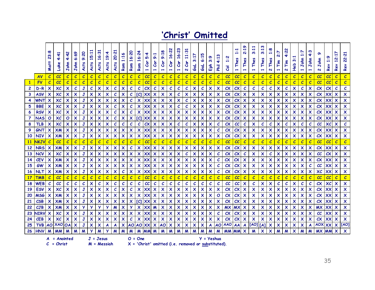## **'Christ' Omitted**

|                 |             | 23:8<br>Matt              | 4:41<br>Luke                   | 4:42<br>John              | 6:69<br>John              | 9:20<br><b>Acts</b> | 15:11<br><b>Acts</b>      | 16:31<br><b>Acts</b>      | 19:4<br><b>Acts</b>       | ដូ<br>8<br>'n<br>٦p       | ∾<br>$\Xi$<br>Rom         | 6:20<br>1<br>Rom          | 6:24<br>$\overline{\phantom{0}}$<br>Rom | 5:4<br>င်င<br>$\overline{\phantom{0}}$ | 9:1<br>Č٥r<br>$\overline{\phantom{0}}$ | 9:18<br>င်္<br>$\overline{\phantom{0}}$ | 6:22<br>1<br>Cor<br>$\overline{\phantom{0}}$ | 16:23<br>Cor              | $\ddot{5}$<br>$\Xi$<br>င်္<br>$\mathbf{N}$ | H<br>ო<br>ತ               | ю<br>∾<br>ತ               | ៳<br>$\ddot{\mathbf{e}}$<br>훕 | m<br>4:1<br><b>Phil</b>                              | ä<br>H<br>ह   | u<br>hes<br>1 | Ō<br>$\frac{1}{2}$<br><b>Thes</b> | 3:11<br>Thes              | ო<br>3:1<br>Thes<br>$\overline{\phantom{0}}$ | 1:8<br>Thes<br>$\mathbf{N}$ | $\overline{2:7}$<br>$\tilde{\mathsf{F}}$<br>$\overline{\phantom{0}}$ | 22<br>Fim<br>$\mathbf{v}$ | $\blacksquare$<br>m<br>Heb | Ľ.<br>aho.<br>ら<br>H      | ო<br>₩<br>ohn<br>1        | ൈ<br>ohn<br>ь<br>$\mathbf{a}$ | $\ddot{a}$<br>Rev | 2:17<br>Rev               | 22:21<br>Rev              |
|-----------------|-------------|---------------------------|--------------------------------|---------------------------|---------------------------|---------------------|---------------------------|---------------------------|---------------------------|---------------------------|---------------------------|---------------------------|-----------------------------------------|----------------------------------------|----------------------------------------|-----------------------------------------|----------------------------------------------|---------------------------|--------------------------------------------|---------------------------|---------------------------|-------------------------------|------------------------------------------------------|---------------|---------------|-----------------------------------|---------------------------|----------------------------------------------|-----------------------------|----------------------------------------------------------------------|---------------------------|----------------------------|---------------------------|---------------------------|-------------------------------|-------------------|---------------------------|---------------------------|
|                 | <b>AV</b>   | $\mathcal{C}$             | cc                             | $\mathcal C$              | $\mathcal{C}$             | $\mathcal{C}$       | $\mathcal C$              | $\mathcal{C}$             | $\mathcal{C}$             | $\mathcal{C}$             | $\boldsymbol{c}$          | $\mathcal{C}$             | $\overline{c}$                          | cc                                     | $\boldsymbol{c}$                       | $\mathcal{C}$                           | $\mathcal{C}$                                | $\boldsymbol{c}$          | $\mathcal{C}$                              | $\boldsymbol{c}$          | $\mathcal{C}$             | $\mathcal{C}$                 | $\mathcal{C}$                                        | cc            | cc            | $\mathcal{C}$                     | $\mathcal{C}$             | $\boldsymbol{c}$                             | $\mathcal C$                | $\overline{c}$                                                       | $\mathcal{C}$             | $\mathcal C$               | $\mathcal{C}$             | $\mathcal{C}$             | cc                            | cc                | $\mathcal{C}$             | $\mathcal{C}$             |
| $\mathbf{1}$    | FV          | $\mathcal{C}$             | cc                             | $\overline{c}$            | $\overline{c}$            | $\overline{c}$      | $\overline{c}$            | $\overline{c}$            | $\overline{c}$            | $\overline{c}$            | $\overline{c}$            | $\overline{c}$            | $\overline{c}$                          | cc                                     | $\overline{c}$                         | $\overline{c}$                          | $\overline{c}$                               | $\overline{c}$            | $\overline{c}$                             | $\overline{c}$            | $\overline{c}$            | $\mathcal C$                  | $\overline{c}$                                       | cc            | cc            | $\mathcal{C}$                     | $\mathcal{C}$             | $\mathcal C$                                 | $\overline{c}$              | $\overline{c}$                                                       | $\overline{c}$            | $\overline{c}$             | $\overline{c}$            | $\mathcal C$              | cc                            | cc                | $\mathcal C$              | $\mathcal{C}$             |
| $\mathbf{2}$    | D-R         | $\boldsymbol{\mathsf{x}}$ | $\chi$                         | $\boldsymbol{\mathsf{x}}$ | $\mathcal{C}$             | $\mathbf J$         | $\mathcal{C}_{0}$         | $\boldsymbol{\mathsf{x}}$ | $\boldsymbol{\mathsf{x}}$ | $\mathcal{C}$             | $\boldsymbol{\mathsf{x}}$ | $\boldsymbol{c}$          | $\boldsymbol{c}$                        | cx                                     | $\boldsymbol{c}$                       | $\boldsymbol{\mathsf{x}}$               | $\pmb{\mathcal{C}}$                          | $\mathcal{C}$             | $\mathcal{C}_{\mathcal{C}}$                | $\boldsymbol{\mathsf{x}}$ | $\boldsymbol{c}$          | $\boldsymbol{\mathsf{x}}$     | $\boldsymbol{\mathsf{x}}$                            | cx            | $c\mathsf{X}$ | $\mathcal{C}$                     | $\boldsymbol{c}$          | $\mathcal C$                                 | $\mathcal{C}_{\mathcal{C}}$ | $\boldsymbol{\mathsf{x}}$                                            | $\mathcal{C}$             | $\boldsymbol{\mathsf{x}}$  | $\boldsymbol{c}$          | $\boldsymbol{\mathsf{x}}$ | cx                            | $c\mathsf{X}$     | $\mathcal{C}$             | $\pmb{\mathcal{C}}$       |
| 3               | <b>ASV</b>  | X                         | $\chi$                         | $\boldsymbol{\mathsf{x}}$ | $\boldsymbol{\mathsf{x}}$ | $\mathbf J$         | $\boldsymbol{\mathsf{x}}$ | $\boldsymbol{\mathsf{x}}$ | X                         | $\mathcal C$              | $\boldsymbol{\mathsf{x}}$ | $\mathcal{C}$             | $\overline{C}$                          | XX                                     | $\boldsymbol{\mathsf{x}}$              | $\boldsymbol{\mathsf{x}}$               | X                                            | $\mathcal C$              | $\boldsymbol{\mathsf{x}}$                  | X                         | $\boldsymbol{\mathsf{x}}$ | $\boldsymbol{\mathsf{x}}$     | X                                                    | cx            | $c\mathsf{X}$ | $\boldsymbol{\mathsf{x}}$         | X                         | $\boldsymbol{\mathsf{x}}$                    | X                           | X                                                                    | X                         | $\boldsymbol{\mathsf{x}}$  | $\boldsymbol{\mathsf{x}}$ | $\boldsymbol{\mathsf{x}}$ | cx                            | XX                | $\boldsymbol{\mathsf{x}}$ | $\boldsymbol{\mathsf{x}}$ |
| 4               | WNT         | Х                         | XC                             | X                         | $\boldsymbol{\mathsf{x}}$ | J                   | $\boldsymbol{\mathsf{x}}$ | $\boldsymbol{\mathsf{x}}$ | $\boldsymbol{\mathsf{x}}$ | X                         | $\boldsymbol{\mathsf{x}}$ | $\mathcal C$              | X                                       | XХ                                     | X                                      | $\boldsymbol{\mathsf{x}}$               | X                                            | $\boldsymbol{\mathsf{x}}$ | $\mathcal{C}$                              | X                         | X                         | $\boldsymbol{\mathsf{x}}$     | $\boldsymbol{\mathsf{x}}$                            | cx            | CX            | $\boldsymbol{\mathsf{x}}$         | X                         | $\boldsymbol{\mathsf{x}}$                    | X                           | X                                                                    | X                         | $\boldsymbol{\mathsf{x}}$  | $\boldsymbol{\mathsf{x}}$ | $\boldsymbol{\mathsf{x}}$ | $c\mathsf{x}$                 | XX                | $\boldsymbol{\mathsf{x}}$ | $\boldsymbol{\mathsf{x}}$ |
| 5.              | <b>BBE</b>  | X                         | $\chi$                         | $\boldsymbol{\mathsf{x}}$ | $\boldsymbol{\mathsf{x}}$ | $\mathbf{J}$        | $\boldsymbol{\mathsf{x}}$ | $\boldsymbol{\mathsf{x}}$ | $\boldsymbol{\mathsf{x}}$ | $\mathcal{C}$             | $\boldsymbol{\mathsf{x}}$ | $\mathcal{C}$             | X                                       | XX                                     | X                                      | $\boldsymbol{\mathsf{x}}$               | X                                            | $\mathcal{C}$             | $\mathcal{C}$                              | $\boldsymbol{\mathsf{x}}$ | X                         | $\boldsymbol{\mathsf{x}}$     | X                                                    | cx            | cx            | $\boldsymbol{\mathsf{x}}$         | X                         | X                                            | $\boldsymbol{\mathsf{x}}$   | X                                                                    | $\mathsf{x}$              | $\boldsymbol{\mathsf{x}}$  | $\boldsymbol{\mathsf{x}}$ | $\boldsymbol{\mathsf{x}}$ | cx                            | XX                | $\boldsymbol{\mathsf{x}}$ | $\boldsymbol{\mathsf{x}}$ |
| 6.              | <b>RSV</b>  | $\boldsymbol{\mathsf{x}}$ | $\chi$ $c$                     | X                         | $\boldsymbol{\mathsf{x}}$ | $\mathbf{J}$        | $\pmb{\times}$            | $\boldsymbol{\mathsf{x}}$ | $\boldsymbol{\mathsf{x}}$ | $\mathcal C$              | $\boldsymbol{\mathsf{x}}$ | $\boldsymbol{c}$          | $\boldsymbol{\mathsf{x}}$               | XX                                     | X                                      | $\boldsymbol{\mathsf{x}}$               | $\pmb{\times}$                               | $\boldsymbol{\mathsf{x}}$ | $\boldsymbol{\mathsf{X}}$                  | $\boldsymbol{\mathsf{x}}$ | $\boldsymbol{\mathsf{x}}$ | $\boldsymbol{\mathsf{x}}$     | $\boldsymbol{\mathsf{x}}$                            | cx            | $c\mathsf{X}$ | X                                 | X                         | $\boldsymbol{\mathsf{x}}$                    | $\boldsymbol{\mathsf{x}}$   | $\boldsymbol{\mathsf{x}}$                                            | X                         | $\boldsymbol{\mathsf{x}}$  | $\boldsymbol{\mathsf{x}}$ | $\boldsymbol{\mathsf{x}}$ | cx                            | XX                | $\boldsymbol{\mathsf{x}}$ | $\boldsymbol{\mathsf{x}}$ |
| 7               | <b>NAS</b>  | O                         | $\chi$ $c$                     | $\mathbf{o}$              | $\boldsymbol{\mathsf{x}}$ | J                   | $\boldsymbol{\mathsf{x}}$ | $\boldsymbol{\mathsf{x}}$ | $\boldsymbol{\mathsf{x}}$ | $\mathcal{C}$             | X                         | X                         | [C]                                     | XX                                     | $\boldsymbol{\mathsf{x}}$              | $\boldsymbol{\mathsf{x}}$               | X                                            | $\boldsymbol{\mathsf{x}}$ | $\boldsymbol{\mathsf{x}}$                  | $\boldsymbol{\mathsf{x}}$ | X                         | $\boldsymbol{\mathsf{x}}$     | $\boldsymbol{\mathsf{x}}$                            | cx            | CX            | X                                 | X                         | X                                            | $\boldsymbol{\mathsf{x}}$   | X                                                                    | X                         | $\boldsymbol{\mathsf{x}}$  | $\boldsymbol{\mathsf{x}}$ | X                         | cx                            | XX                | $\boldsymbol{\mathsf{x}}$ | $\boldsymbol{\mathsf{x}}$ |
| 8               | <b>TLB</b>  | $\boldsymbol{\mathsf{x}}$ | XC                             | $\boldsymbol{\mathsf{x}}$ | $\boldsymbol{\mathsf{x}}$ | $\mathbf{J}$        | $\boldsymbol{\mathsf{x}}$ | $\boldsymbol{\mathsf{X}}$ | $\boldsymbol{\mathsf{x}}$ | $\mathcal{C}$             | $\mathcal{C}$             | $\mathcal C$              | $\mathcal{C}$                           | cx                                     | $\boldsymbol{\mathsf{x}}$              | $\boldsymbol{\mathsf{x}}$               | X                                            | $\mathcal{C}$             | $\mathcal{C}_{\mathcal{C}}$                | $\boldsymbol{\mathsf{x}}$ | $\boldsymbol{\mathsf{x}}$ | $\boldsymbol{\mathsf{x}}$     | $\mathcal C$                                         | cx            | cc            | $\mathcal C$                      | X                         | $\mathcal C$                                 | $\mathcal{C}$               | $\boldsymbol{\mathsf{x}}$                                            | C                         | $\boldsymbol{\mathsf{x}}$  | $\mathcal{C}$             | $\mathcal C$              | cc                            | $\chi$            | $\boldsymbol{\mathsf{x}}$ | $\boldsymbol{c}$          |
| 9               | GNT         | X                         | $X$ <sub>M</sub>               | X                         | $\boldsymbol{\mathsf{x}}$ | J                   | X                         | X                         | X                         | X                         | $\boldsymbol{\mathsf{x}}$ | X                         | X                                       | XX                                     | $\boldsymbol{\mathsf{x}}$              | $\boldsymbol{\mathsf{x}}$               | X                                            | X                         | $\boldsymbol{\mathsf{x}}$                  | X                         | X                         | $\boldsymbol{\mathsf{x}}$     | $\mathcal C$                                         | cx            | CX            | X                                 | X                         | X                                            | X                           | X                                                                    | X                         | $\boldsymbol{\mathsf{x}}$  | $\boldsymbol{\mathsf{x}}$ | X                         | $c\mathsf{X}$                 | XX                | $\boldsymbol{\mathsf{x}}$ | $\boldsymbol{\mathsf{x}}$ |
| 10              | <b>NIV</b>  | X                         | $X$ <sub>M</sub>               | $\boldsymbol{\mathsf{x}}$ | $\boldsymbol{\mathsf{x}}$ | $\mathbf{J}$        | X                         | $\boldsymbol{\mathsf{x}}$ | X                         | X                         | $\boldsymbol{\mathsf{x}}$ | X                         | $\boldsymbol{\mathsf{x}}$               | XX                                     | X                                      | X                                       | X                                            | X                         | $\boldsymbol{\mathsf{x}}$                  | ×                         | X                         | $\boldsymbol{\mathsf{x}}$     | X                                                    | cx            | cx            | $\boldsymbol{\mathsf{x}}$         | X                         | X                                            | X                           | X                                                                    | $\mathsf{x}$              | X                          | $\boldsymbol{\mathsf{x}}$ | $\boldsymbol{\mathsf{x}}$ | cx                            | XX                | $\boldsymbol{\mathsf{x}}$ | $\boldsymbol{\mathsf{x}}$ |
| 11              | <b>NKJV</b> | $\mathcal C$              | cc                             | $\mathcal{C}$             | $\overline{c}$            | $\mathcal C$        | $\overline{c}$            | $\overline{c}$            | $\mathcal{C}$             | $\mathcal{C}$             | $\mathcal{C}$             | $\overline{c}$            | $\overline{c}$                          | cc                                     | $\mathcal C$                           | $\mathcal{C}$                           | $\overline{c}$                               | $\mathcal{C}$             | $\overline{c}$                             | $\overline{c}$            | $\mathcal{C}$             | $\mathcal{C}$                 | $\overline{c}$                                       | cc            | cc            | $\mathcal{C}$                     | $\mathcal{C}$             | $\mathcal C$                                 | $\overline{c}$              | $\overline{c}$                                                       | $\overline{c}$            | $\mathcal C$               | $\mathcal C$              | $\mathcal C$              | cc                            | cc                | $\mathcal C$              | $\mathcal{C}$             |
| 12 <sup>2</sup> | <b>NRS</b>  | $\boldsymbol{\mathsf{x}}$ | $X$ <sub>M</sub>               | X                         | $\boldsymbol{\mathsf{x}}$ | $\mathbf{J}$        | X                         | X                         | $\boldsymbol{\mathsf{x}}$ | X                         | X                         | $\boldsymbol{c}$          | $\mathsf{x}$                            | XX                                     | X                                      | $\boldsymbol{\mathsf{x}}$               | X                                            | X                         | $\boldsymbol{\mathsf{X}}$                  | $\boldsymbol{\mathsf{x}}$ | X                         | $\boldsymbol{\mathsf{x}}$     | X                                                    | $c\mathsf{X}$ | $c\mathsf{X}$ | $\boldsymbol{\mathsf{x}}$         | X                         | X                                            | $\boldsymbol{\mathsf{x}}$   | $\boldsymbol{\mathsf{x}}$                                            | $\mathsf{x}$              | $\boldsymbol{\mathsf{x}}$  | $\boldsymbol{\mathsf{x}}$ | $\boldsymbol{\mathsf{x}}$ | $c\mathsf{X}$                 | XX                | $\boldsymbol{\mathsf{x}}$ | $\boldsymbol{\mathsf{x}}$ |
| 13              | <b>NCV</b>  | $\boldsymbol{\mathsf{x}}$ | $\chi$                         | $\boldsymbol{\mathsf{x}}$ | $\boldsymbol{\mathsf{x}}$ | $\mathbf{J}$        | $\boldsymbol{\mathsf{x}}$ | $\boldsymbol{\mathsf{X}}$ | $\boldsymbol{\mathsf{x}}$ | $\boldsymbol{\mathsf{x}}$ | $\boldsymbol{\mathsf{x}}$ | $\boldsymbol{\mathsf{x}}$ | X                                       | XX                                     | $\boldsymbol{\mathsf{x}}$              | $\boldsymbol{\mathsf{x}}$               | X                                            | $\boldsymbol{\mathsf{x}}$ | $\mathcal{C}_{\mathcal{C}}$                | $\boldsymbol{\mathsf{x}}$ | X                         | $\boldsymbol{\mathsf{x}}$     | $\mathcal C$                                         | cx            | $c\mathsf{X}$ | $\mathcal{C}$                     | X                         | $\boldsymbol{\mathsf{x}}$                    | $\mathcal{C}$               | $\boldsymbol{\mathsf{x}}$                                            | $\boldsymbol{\mathsf{x}}$ | $\boldsymbol{\mathsf{x}}$  | $\boldsymbol{\mathsf{x}}$ | $\boldsymbol{\mathsf{x}}$ | cc                            | $c\mathsf{X}$     | $\boldsymbol{\mathsf{x}}$ | $\boldsymbol{\mathsf{x}}$ |
| 14              | <b>CEV</b>  | X                         | $X$ <sub>M</sub>               | $\boldsymbol{\mathsf{x}}$ | $\boldsymbol{\mathsf{x}}$ | J                   | $\boldsymbol{\mathsf{x}}$ | $\boldsymbol{\mathsf{x}}$ | X                         | X                         | $\boldsymbol{\mathsf{x}}$ | X                         | $\mathsf{x}$                            | XX                                     | X                                      | $\boldsymbol{\mathsf{x}}$               | X                                            | $\boldsymbol{\mathsf{x}}$ | $\boldsymbol{\mathsf{x}}$                  | $\boldsymbol{\mathsf{x}}$ | X                         | $\boldsymbol{\mathsf{x}}$     | $\mathcal C$                                         | $c\mathsf{X}$ | $c\mathsf{X}$ | $\boldsymbol{\mathsf{x}}$         | $\boldsymbol{\mathsf{x}}$ | X                                            | X                           | $\boldsymbol{\mathsf{x}}$                                            | X                         | $\boldsymbol{\mathsf{x}}$  | $\boldsymbol{\mathsf{x}}$ | X                         | cx                            | XX                | $\boldsymbol{\mathsf{x}}$ | $\boldsymbol{\mathsf{x}}$ |
| 15              | GW          | $\boldsymbol{\mathsf{x}}$ | $X$ <sub>M</sub>               | $\boldsymbol{\mathsf{x}}$ | $\boldsymbol{\mathsf{x}}$ | J                   | $\boldsymbol{\mathsf{x}}$ | $\boldsymbol{\mathsf{x}}$ | $\boldsymbol{\mathsf{x}}$ | X                         | $\boldsymbol{\mathsf{x}}$ | X                         | $\mathsf{x}$                            | XX                                     | X                                      | $\boldsymbol{\mathsf{x}}$               | X                                            | $\boldsymbol{\mathsf{x}}$ | $\boldsymbol{\mathsf{x}}$                  | $\boldsymbol{\mathsf{x}}$ | X                         | $\boldsymbol{\mathsf{x}}$     | $\mathcal C$                                         | cx            | $c\mathsf{X}$ | $\boldsymbol{\mathsf{x}}$         | X                         | $\boldsymbol{\mathsf{x}}$                    | $\boldsymbol{\mathsf{x}}$   | X                                                                    | X                         | $\boldsymbol{\mathsf{x}}$  | $\boldsymbol{\mathsf{x}}$ | $\mathcal C$              | cc                            | XX                | $\boldsymbol{\mathsf{x}}$ | $\boldsymbol{\mathsf{x}}$ |
| <b>16</b>       | <b>NLT</b>  | $\boldsymbol{\mathsf{x}}$ | $X$ <sub>M</sub>               | $\boldsymbol{\mathsf{x}}$ | $\boldsymbol{\mathsf{x}}$ | $\mathbf{J}$        | X                         | $\boldsymbol{\mathsf{x}}$ | X                         | X                         | $\mathcal C$              | X                         | X                                       | XX                                     | X                                      | $\boldsymbol{\mathsf{x}}$               | X                                            | $\boldsymbol{\mathsf{x}}$ | $\boldsymbol{\mathsf{x}}$                  | X                         | X                         | $\boldsymbol{\mathsf{x}}$     | $\mathcal C$                                         | cx            | cx            | $\boldsymbol{\mathsf{x}}$         | X                         | X                                            | X                           | $\boldsymbol{\mathsf{x}}$                                            | $\mathsf{x}$              | $\boldsymbol{\mathsf{x}}$  | X                         | $\boldsymbol{\mathsf{x}}$ | $\chi$                        | XX                | $\boldsymbol{\mathsf{x}}$ | $\boldsymbol{\mathsf{x}}$ |
| 17              | <b>TMB</b>  | $\mathcal{C}$             | cc                             | $\overline{c}$            | $\mathcal{C}$             | $\boldsymbol{c}$    | $\overline{c}$            | $\overline{c}$            | $\overline{c}$            | $\epsilon$                | $\overline{c}$            | $\overline{c}$            | $\overline{c}$                          | cc                                     | $\overline{c}$                         | $\overline{c}$                          | $\boldsymbol{c}$                             | $\overline{c}$            | $\overline{c}$                             | $\mathcal{C}$             | $\boldsymbol{c}$          | $\boldsymbol{c}$              | $\mathcal{C}$                                        | cc            | cc            | $\overline{c}$                    | $\epsilon$                | $\boldsymbol{c}$                             | $\overline{c}$              | $\overline{c}$                                                       | $\boldsymbol{c}$          | $\overline{c}$             | $\overline{c}$            | $\overline{c}$            | cc                            | cc                | $\overline{c}$            | $\boldsymbol{c}$          |
| 18              | <b>WEB</b>  | $\mathcal C$              | cc                             | $\mathcal{C}$             | $\mathcal{C}$             | $\mathcal{C}$       | X                         | $\mathcal{C}$             | $\boldsymbol{\mathsf{x}}$ | $\mathcal C$              | $\mathcal{C}$             | $\mathcal{C}$             | $\mathcal{C}$                           | cc                                     | $\mathcal{C}$                          | $\mathcal{C}$                           | $\mathcal{C}$                                | $\mathcal{C}$             | $\mathcal{C}$                              | $\boldsymbol{c}$          | $\mathcal{C}$             | $\mathcal{C}$                 | $\mathcal C$                                         | cc            | cc            | $\boldsymbol{\mathsf{x}}$         | $\boldsymbol{c}$          | $\boldsymbol{\mathsf{x}}$                    | $\boldsymbol{\mathsf{x}}$   | $\mathcal{C}$                                                        | $\mathcal C$              | $\boldsymbol{\mathsf{x}}$  | $\mathcal{C}$             | $\mathcal C$              | cx                            | $\chi$ $c$        | $\boldsymbol{\mathsf{x}}$ | $\boldsymbol{\mathsf{x}}$ |
| 19              | <b>ESV</b>  | $\boldsymbol{\mathsf{x}}$ | $\chi$ $c$                     | $\boldsymbol{\mathsf{x}}$ | $\boldsymbol{\mathsf{x}}$ | $\mathbf J$         | $\boldsymbol{\mathsf{x}}$ | $\boldsymbol{\mathsf{x}}$ | X                         | $\mathcal{C}$             | X                         | $\mathcal C$              | X                                       | XX                                     | $\boldsymbol{\mathsf{x}}$              | $\boldsymbol{\mathsf{x}}$               | X                                            | X                         | $\boldsymbol{\mathsf{x}}$                  | $\boldsymbol{\mathsf{x}}$ | X                         | $\boldsymbol{\mathsf{x}}$     | X                                                    | $c\mathsf{X}$ | $c\mathsf{X}$ | $\boldsymbol{\mathsf{x}}$         | X                         | X                                            | X                           | X                                                                    | X                         | $\boldsymbol{\mathsf{x}}$  | $\boldsymbol{\mathsf{x}}$ | $\boldsymbol{\mathsf{x}}$ | cx                            | XX                | $\boldsymbol{\mathsf{x}}$ | $\boldsymbol{\mathsf{x}}$ |
| 20              | <b>MSG</b>  | $\boldsymbol{\mathsf{x}}$ | $X$ <sub>M</sub>               | $\boldsymbol{\mathsf{x}}$ | $\boldsymbol{\mathsf{x}}$ | $\mathbf J$         | $\boldsymbol{\mathsf{x}}$ | $\boldsymbol{\mathsf{x}}$ | X                         | $\boldsymbol{\mathsf{x}}$ | $\boldsymbol{\mathsf{x}}$ | X                         | X                                       | XX                                     | X                                      | $\boldsymbol{\mathsf{x}}$               | X                                            | $\boldsymbol{\mathsf{x}}$ | $\boldsymbol{\mathsf{x}}$                  | $\boldsymbol{\mathsf{x}}$ | $\boldsymbol{\mathsf{x}}$ | $\boldsymbol{\mathsf{x}}$     | $\mathbf{o}$                                         | cx            | $c\mathsf{X}$ | $\boldsymbol{\mathsf{x}}$         | X                         | $\boldsymbol{\mathsf{x}}$                    | $\boldsymbol{\mathsf{x}}$   | $\boldsymbol{\mathsf{x}}$                                            | X                         | $\boldsymbol{\mathsf{x}}$  | $\boldsymbol{\mathsf{x}}$ | $\boldsymbol{\mathsf{x}}$ | cx                            | XX                | $\boldsymbol{\mathsf{x}}$ | $\boldsymbol{\mathsf{x}}$ |
| 21              | <b>CSB</b>  | X                         | $X$ M                          | $\boldsymbol{\mathsf{x}}$ | $\boldsymbol{\mathsf{x}}$ | $\mathbf J$         | X                         | $\boldsymbol{\mathsf{x}}$ | X                         | X                         | $\boldsymbol{\mathsf{x}}$ | X                         | $\overline{C}$                          | XX                                     | X                                      | X                                       | X                                            | X                         | $\boldsymbol{\mathsf{x}}$                  | X                         | X                         | $\boldsymbol{\mathsf{x}}$     | X                                                    | cx            | CX            | X                                 | X                         | X                                            | X                           | X                                                                    | X                         | X                          | X                         | $\boldsymbol{\mathsf{x}}$ | cx                            | XX                | X                         | $\boldsymbol{\mathsf{x}}$ |
| 22              | CJB         | $\boldsymbol{\mathsf{x}}$ | $X$ <sub>M</sub>               | $\boldsymbol{\mathsf{x}}$ | $\boldsymbol{\mathsf{x}}$ | <b>y</b>            | $\mathbf{y}$              | У                         | У                         | M                         | $\boldsymbol{\mathsf{x}}$ | У                         | $\mathsf{x}$                            | XX                                     | $\boldsymbol{M}$                       | $\boldsymbol{\mathsf{x}}$               | X                                            | $\overline{\mathsf{x}}$   | $\boldsymbol{\mathsf{x}}$                  | $\boldsymbol{\mathsf{x}}$ | X                         | $\boldsymbol{\mathsf{x}}$     | $\boldsymbol{\mathsf{x}}$                            | <b>MX</b>     | <b>MX</b>     | $\boldsymbol{\mathsf{x}}$         | $\boldsymbol{\mathsf{x}}$ | $\boldsymbol{\mathsf{x}}$                    | $\boldsymbol{\mathsf{x}}$   | X                                                                    | X                         | $\boldsymbol{\mathsf{x}}$  | $\boldsymbol{\mathsf{x}}$ | $\boldsymbol{\mathsf{x}}$ | <b>MX</b>                     | XX                | $\boldsymbol{\mathsf{x}}$ | $\boldsymbol{\mathsf{x}}$ |
| 23              | <b>JIRV</b> | $\boldsymbol{\mathsf{x}}$ | $\chi$ $c$                     | $\boldsymbol{\mathsf{x}}$ | $\boldsymbol{\mathsf{x}}$ | $\mathbf J$         | $\boldsymbol{\mathsf{x}}$ | X                         | $\boldsymbol{\mathsf{x}}$ | X                         | X                         | X                         | $\boldsymbol{\mathsf{x}}$               | XX                                     | $\boldsymbol{\mathsf{x}}$              | $\boldsymbol{\mathsf{x}}$               | X                                            | X                         | $\boldsymbol{\mathsf{x}}$                  | X                         | X                         | $\boldsymbol{\mathsf{x}}$     | $\mathcal C$                                         | cx            | $c\mathsf{x}$ | $\boldsymbol{\mathsf{x}}$         | X                         | X                                            | $\boldsymbol{\mathsf{x}}$   | $\boldsymbol{\mathsf{x}}$                                            | X                         | $\boldsymbol{\mathsf{x}}$  | $\boldsymbol{\mathsf{x}}$ | X                         | cc                            | XX                | $\boldsymbol{\mathsf{x}}$ | $\boldsymbol{\mathsf{x}}$ |
| 24              | <b>CEB</b>  | $\boldsymbol{\mathsf{x}}$ | $\chi$                         | $\boldsymbol{\mathsf{x}}$ | $\boldsymbol{\mathsf{x}}$ | $\mathbf{J}$        | $\boldsymbol{\mathsf{x}}$ | $\boldsymbol{\mathsf{x}}$ | $\boldsymbol{\mathsf{x}}$ | $\overline{\mathsf{x}}$   | $\boldsymbol{\mathsf{x}}$ | $\mathcal{C}_{0}$         | X                                       | XX                                     | $\boldsymbol{\mathsf{x}}$              | $\boldsymbol{\mathsf{x}}$               | $\pmb{\times}$                               | $\boldsymbol{\mathsf{x}}$ | $\boldsymbol{\mathsf{x}}$                  | $\boldsymbol{\mathsf{x}}$ | X                         | $\boldsymbol{\mathsf{x}}$     | $\boldsymbol{\mathsf{x}}$                            | cx            | $c\mathsf{X}$ | $\boldsymbol{\mathsf{x}}$         | $\boldsymbol{\mathsf{x}}$ | $\boldsymbol{\mathsf{x}}$                    | $\boldsymbol{\mathsf{x}}$   | $\pmb{\times}$                                                       | X                         | $\boldsymbol{\mathsf{x}}$  | $\boldsymbol{\mathsf{x}}$ | $\boldsymbol{\mathsf{x}}$ | $c\mathsf{X}$                 | XX                | $\boldsymbol{\mathsf{x}}$ | $\boldsymbol{\mathsf{x}}$ |
| 25              | <b>TVB</b>  |                           | AO XAO OA                      |                           | $\boldsymbol{\mathsf{x}}$ | J                   | $\boldsymbol{\mathsf{x}}$ | $\boldsymbol{\mathsf{x}}$ | A                         | A                         | $\boldsymbol{\mathsf{x}}$ | AO                        | <b>AO</b>                               | XX                                     | $\boldsymbol{\mathsf{x}}$              | <b>AO</b>                               | X                                            | X                         | X                                          | X                         | X                         | A                             | <b>AO</b>                                            | <b>AAO</b>    | AA            |                                   | [AO]                      | [A]                                          | X                           | X                                                                    | X                         | $\boldsymbol{\mathsf{x}}$  | $\boldsymbol{\mathsf{x}}$ | A                         | <b>AOX</b>                    | <b>XX</b>         | $\boldsymbol{\mathsf{x}}$ | [AO]                      |
| 26              | <b>HNV</b>  | M                         |                                |                           | M                         | M                   | У                         | М                         | У                         | M                         | M                         |                           |                                         | <b>MM</b>                              | M                                      | M                                       | M                                            | M                         | M                                          | M                         |                           |                               |                                                      | <b>MM</b>     | <b>MM</b>     | $\boldsymbol{\mathsf{x}}$         | M                         | $\boldsymbol{\mathsf{x}}$                    | X                           | M                                                                    | M                         | $\boldsymbol{\mathsf{x}}$  | M                         | M                         | <b>MX MM</b>                  |                   | $\boldsymbol{\mathsf{x}}$ | $\boldsymbol{\mathsf{x}}$ |
|                 |             |                           | $A =$ Anointed<br>$C =$ Christ |                           |                           |                     |                           | $J = J$ esus              | $M = M$ essiah            |                           |                           | $O = One$                 |                                         |                                        |                                        |                                         |                                              |                           |                                            |                           | $Y = Yeshu$ a             |                               | $X = 'Christ' omitted (i.e. removed or substituted)$ |               |               |                                   |                           |                                              |                             |                                                                      |                           |                            |                           |                           |                               |                   |                           |                           |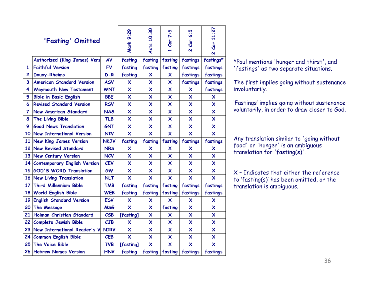|                         | 'Fasting' Omitted                   |             | Mark 9:29                 | Acts 10:30                | 7:5<br><b>Cor</b>         | 6:5<br>Cor<br>$\overline{\mathbf{v}}$ | 11:27<br>Cor<br>$\overline{\mathbf{v}}$ |
|-------------------------|-------------------------------------|-------------|---------------------------|---------------------------|---------------------------|---------------------------------------|-----------------------------------------|
|                         | <b>Authorized (King James) Vers</b> | AV          | fasting                   | fasting                   | fasting                   | fastings                              | fastings*                               |
| 1                       | <b>Faithful Version</b>             | <b>FV</b>   | fasting                   | fasting                   | fasting                   | fastings                              | fastings                                |
| $\overline{2}$          | <b>Douay-Rheims</b>                 | $D-R$       | fasting                   | X                         | $\boldsymbol{\mathsf{x}}$ | fastings                              | fastings                                |
| $\overline{\mathbf{3}}$ | <b>American Standard Version</b>    | <b>ASV</b>  | $\boldsymbol{\mathsf{x}}$ | $\boldsymbol{\mathsf{x}}$ | $\boldsymbol{\mathsf{x}}$ | fastings                              | fastings                                |
| 4                       | <b>Weymouth New Testament</b>       | <b>WNT</b>  | $\overline{\mathsf{x}}$   | $\boldsymbol{\mathsf{x}}$ | $\overline{\mathsf{x}}$   | X                                     | fastings                                |
| 5                       | <b>Bible in Basic English</b>       | <b>BBE</b>  | $\boldsymbol{\mathsf{x}}$ | $\boldsymbol{\mathsf{x}}$ | $\boldsymbol{\mathsf{x}}$ | $\boldsymbol{\mathsf{x}}$             | X                                       |
| 6                       | <b>Revised Standard Version</b>     | <b>RSV</b>  | $\boldsymbol{\mathsf{x}}$ | $\boldsymbol{\mathsf{x}}$ | $\boldsymbol{\mathsf{x}}$ | X                                     | X                                       |
| $\overline{7}$          | <b>New American Standard</b>        | <b>NAS</b>  | $\overline{\mathsf{x}}$   | $\boldsymbol{\mathsf{x}}$ | $\boldsymbol{\mathsf{x}}$ | $\boldsymbol{\mathsf{x}}$             | $\boldsymbol{\mathsf{x}}$               |
| 8                       | The Living Bible                    | <b>TLB</b>  | $\boldsymbol{\mathsf{x}}$ | X                         | $\boldsymbol{\mathsf{x}}$ | $\boldsymbol{\mathsf{x}}$             | $\boldsymbol{\mathsf{x}}$               |
| 9                       | <b>Good News Translation</b>        | <b>GNT</b>  | $\overline{\mathsf{x}}$   | X                         | $\overline{\mathsf{x}}$   | $\overline{\mathsf{x}}$               | $\overline{\mathsf{x}}$                 |
|                         | 10 New International Version        | <b>NIV</b>  | $\boldsymbol{\mathsf{x}}$ | X.                        | X                         | $\boldsymbol{\mathsf{x}}$             | X                                       |
| 11                      | <b>New King James Version</b>       | <b>NKJV</b> | fasting                   | fasting                   | fasting                   | fastings                              | fastings                                |
|                         | 12 New Revised Standard             | <b>NRS</b>  | $\boldsymbol{\mathsf{x}}$ | $\boldsymbol{\mathsf{x}}$ | $\boldsymbol{\mathsf{x}}$ | $\boldsymbol{\mathsf{x}}$             | $\boldsymbol{\mathsf{x}}$               |
|                         | 13 New Century Version              | <b>NCV</b>  | $\boldsymbol{\mathsf{x}}$ | X                         | $\boldsymbol{\mathsf{x}}$ | X                                     | $\boldsymbol{\mathsf{x}}$               |
|                         | 14 Contemporary English Version     | <b>CEV</b>  | $\boldsymbol{\mathsf{x}}$ | $\boldsymbol{\mathsf{x}}$ | $\boldsymbol{\mathsf{x}}$ | X                                     | $\boldsymbol{\mathsf{x}}$               |
|                         | 15 GOD'S WORD Translation           | <b>GW</b>   | $\boldsymbol{\mathsf{x}}$ | X                         | X                         | $\boldsymbol{\mathsf{x}}$             | $\boldsymbol{\mathsf{x}}$               |
|                         | 16 New Living Translation           | <b>NLT</b>  | X                         | $\mathsf{x}$              | $\boldsymbol{\mathsf{x}}$ | $\boldsymbol{\mathsf{x}}$             | $\boldsymbol{\mathsf{x}}$               |
| 17                      | <b>Third Millennium Bible</b>       | <b>TMB</b>  | fasting                   | fasting                   | fasting                   | fastings                              | fastings                                |
| 18                      | <b>World English Bible</b>          | <b>WEB</b>  | fasting                   | fasting                   | fasting                   | fastings                              | fastings                                |
| 19                      | <b>English Standard Version</b>     | <b>ESV</b>  | $\boldsymbol{\mathsf{x}}$ | $\boldsymbol{\mathsf{x}}$ | $\boldsymbol{\mathsf{x}}$ | $\boldsymbol{\mathsf{x}}$             | $\boldsymbol{\mathsf{x}}$               |
| 20                      | The Message                         | <b>MSG</b>  | $\overline{\mathsf{x}}$   | $\overline{\mathsf{x}}$   | fasting                   | X                                     | $\boldsymbol{\mathsf{x}}$               |
| 21                      | Holman Christian Standard           | CSB         | [fasting]                 | X                         | X                         | X                                     | X                                       |
|                         | 22 Complete Jewish Bible            | CJB         | $\boldsymbol{\mathsf{x}}$ | X                         | $\boldsymbol{\mathsf{x}}$ | $\boldsymbol{\mathsf{x}}$             | $\overline{\mathsf{x}}$                 |
| 23                      | New International Reader's V        | <b>NIRV</b> | $\boldsymbol{\mathsf{x}}$ | X                         | $\boldsymbol{\mathsf{x}}$ | $\boldsymbol{\mathsf{x}}$             | $\boldsymbol{\mathsf{x}}$               |
|                         | 24 Common English Bible             | <b>CEB</b>  | $\overline{\mathsf{x}}$   | X                         | $\overline{\mathsf{x}}$   | $\overline{\mathsf{x}}$               | $\overline{\mathsf{x}}$                 |
| 25                      | The Voice Bible                     | <b>TVB</b>  | [fasting]                 | X                         | X                         | $\overline{\mathsf{x}}$               | X                                       |
|                         | 26 Hebrew Names Version             | <b>HNV</b>  | fasting                   | fasting                   | fasting                   | fastings                              | fastings                                |

\*Paul mentions 'hunger and thirst', and 'fastings' as two separate situations.

The first implies going without sustenance involuntarily.

'Fastings' implies going without sustenance voluntarily, in order to draw closer to God.

Any translation similar to 'going without food' or 'hunger' is an ambiguous translation for 'fasting(s)'.

X – Indicates that either the reference to 'fasting(s)' has been omitted, or the translation is ambiguous.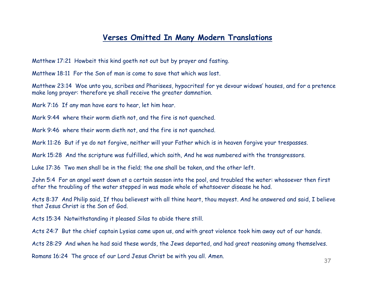#### **Verses Omitted In Many Modern Translations**

Matthew 17:21 Howbeit this kind goeth not out but by prayer and fasting.

Matthew 18:11 For the Son of man is come to save that which was lost.

Matthew 23:14 Woe unto you, scribes and Pharisees, hypocrites! for ye devour widows' houses, and for a pretence make long prayer: therefore ye shall receive the greater damnation.

Mark 7:16 If any man have ears to hear, let him hear.

Mark 9:44 where their worm dieth not, and the fire is not quenched.

Mark 9:46 where their worm dieth not, and the fire is not quenched.

Mark 11:26 But if ye do not forgive, neither will your Father which is in heaven forgive your trespasses.

Mark 15:28 And the scripture was fulfilled, which saith, And he was numbered with the transgressors.

Luke 17:36 Two men shall be in the field; the one shall be taken, and the other left.

John 5:4 For an angel went down at a certain season into the pool, and troubled the water: whosoever then first after the troubling of the water stepped in was made whole of whatsoever disease he had.

Acts 8:37 And Philip said, If thou believest with all thine heart, thou mayest. And he answered and said, I believe that Jesus Christ is the Son of God.

Acts 15:34 Notwithstanding it pleased Silas to abide there still.

Acts 24:7 But the chief captain Lysias came upon us, and with great violence took him away out of our hands.

Acts 28:29 And when he had said these words, the Jews departed, and had great reasoning among themselves.

Romans 16:24 The grace of our Lord Jesus Christ be with you all. Amen.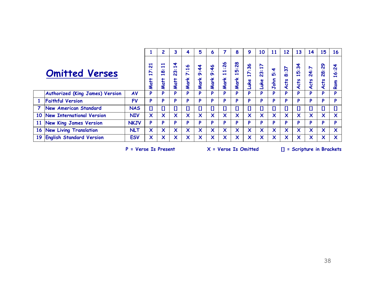|           |                                        |             | 2                                                                       | 3                                                                                                          |                                                               | 5                                                                                      | 6                                             |                                                          | 8                                                                                  | 9                                                      | 10                                                                                 | 11                                                                                                                    | 12                                               | 13                                           | 14                                                                                               | 15                                                       | <b>16</b>                                           |                                                         |
|-----------|----------------------------------------|-------------|-------------------------------------------------------------------------|------------------------------------------------------------------------------------------------------------|---------------------------------------------------------------|----------------------------------------------------------------------------------------|-----------------------------------------------|----------------------------------------------------------|------------------------------------------------------------------------------------|--------------------------------------------------------|------------------------------------------------------------------------------------|-----------------------------------------------------------------------------------------------------------------------|--------------------------------------------------|----------------------------------------------|--------------------------------------------------------------------------------------------------|----------------------------------------------------------|-----------------------------------------------------|---------------------------------------------------------|
|           | <b>Omitted Verses</b>                  |             | $\overline{\phantom{a}}$<br>$\mathbf{N}$<br>$\bullet$<br>N<br>÷<br>Matt | $\overline{\phantom{a}}$<br>$\blacksquare$<br>$\bullet$<br>$\boldsymbol{\infty}$<br>$\blacksquare$<br>Matt | ෑ<br>$\blacksquare$<br>$\bullet$<br>ო<br>$\mathbf{N}$<br>Matt | $\bullet$<br>$\blacksquare$<br>$\bullet$ $\bullet$<br>$\overline{\phantom{a}}$<br>Mark | \$<br>$\bullet$ $\bullet$<br>$\sigma$<br>Mark | $\frac{4}{6}$<br>$\bullet$ $\bullet$<br>$\sigma$<br>Mark | $\overline{26}$<br>$\bullet$<br>$\blacksquare$<br>$\overline{\phantom{0}}$<br>Mark | $\overline{28}$<br>$\bullet$<br><b>IO</b><br>÷<br>Mark | 36<br>$\bullet$ $\bullet$<br>$\blacktriangleright$<br>$\blacksquare$<br><u>uke</u> | $\blacktriangleright$<br>$\overline{\phantom{0}}$<br>$\bullet$<br>$\boldsymbol{\omega}$<br>$\mathbf{N}$<br><u>uke</u> | 4<br>$\bullet$ $\bullet$<br>$\mathbf{D}$<br>John | $\frac{2}{3}$<br>$\bullet$<br>$\infty$<br>ts | $\frac{3}{4}$<br>$\bullet$ $\bullet$<br><b>IO</b><br>$\overline{\phantom{0}}$<br><b>cts</b><br>⋖ | ↖<br>$\bullet$ $\bullet$<br>4<br>$\dot{\mathbf{M}}$<br>č | 8<br>$\bullet$<br>$\overline{8}$<br><b>ato</b><br>⋖ | 4<br>$\tilde{\mathbf{v}}$<br>$\bullet$<br>P<br>÷<br>Rom |
|           | <b>Authorized (King James) Version</b> | AV          | P                                                                       | P                                                                                                          | P                                                             | P                                                                                      | P                                             | P                                                        | P                                                                                  | P                                                      | P                                                                                  | P                                                                                                                     | P                                                | P                                            | P                                                                                                | Þ                                                        | P                                                   | D                                                       |
| 1         | <b>Faithful Version</b>                | <b>FV</b>   | P                                                                       | P                                                                                                          | P                                                             | P                                                                                      | P                                             | P                                                        | P                                                                                  | D                                                      | P                                                                                  | P                                                                                                                     | P                                                | P                                            | P                                                                                                | D                                                        | D                                                   | D                                                       |
|           | New American Standard                  | <b>NAS</b>  | $[ ]$                                                                   | $\mathbf{I}$                                                                                               | $\mathbf{I}$                                                  | IJ                                                                                     | $\mathbf{I}$                                  | $\mathbf{I}$                                             | $\mathbf{I}$                                                                       | IJ                                                     | $\begin{array}{c} \square \end{array}$                                             | $\mathbf{I}$                                                                                                          | IJ                                               | O                                            | O                                                                                                | $\mathbf{I}$                                             | $\mathbf{I}$                                        | נו                                                      |
|           | 10 New International Version           | <b>NIV</b>  | X                                                                       | X                                                                                                          | X                                                             | X                                                                                      | X                                             | X                                                        | $\boldsymbol{\mathsf{x}}$                                                          | $\boldsymbol{\mathsf{x}}$                              | X                                                                                  | X                                                                                                                     | $\boldsymbol{\mathsf{x}}$                        | $\boldsymbol{\mathsf{x}}$                    | $\boldsymbol{\mathsf{x}}$                                                                        | $\boldsymbol{\mathsf{x}}$                                | $\boldsymbol{\mathsf{x}}$                           | X                                                       |
| <b>11</b> | New King James Version                 | <b>NKJV</b> | P                                                                       | P                                                                                                          | P                                                             | P                                                                                      | P                                             | P                                                        | P                                                                                  | P                                                      | P                                                                                  | P                                                                                                                     | P                                                | P                                            | P                                                                                                | P                                                        | P                                                   | Þ                                                       |
|           | 16 New Living Translation              | <b>NLT</b>  | $\boldsymbol{\mathsf{x}}$                                               | $\boldsymbol{\mathsf{x}}$                                                                                  | X                                                             | X                                                                                      | X                                             | $\boldsymbol{\mathsf{x}}$                                | $\boldsymbol{\mathsf{x}}$                                                          | $\boldsymbol{\mathsf{x}}$                              | X                                                                                  | $\boldsymbol{\mathsf{x}}$                                                                                             | $\boldsymbol{\mathsf{x}}$                        | $\boldsymbol{\mathsf{x}}$                    | $\boldsymbol{\mathsf{x}}$                                                                        | $\boldsymbol{\mathsf{x}}$                                | $\boldsymbol{\mathsf{x}}$                           | $\boldsymbol{\mathsf{x}}$                               |
| 19        | <b>English Standard Version</b>        | <b>ESV</b>  | $\boldsymbol{\mathsf{x}}$                                               | X                                                                                                          | X                                                             | X                                                                                      | X                                             | X                                                        | X                                                                                  | X                                                      | X                                                                                  | X                                                                                                                     | X                                                | X                                            | X                                                                                                | X                                                        | $\boldsymbol{\mathsf{x}}$                           | X                                                       |

**P = Verse Is Present X = Verse Is Omitted [] = Scripture in Brackets**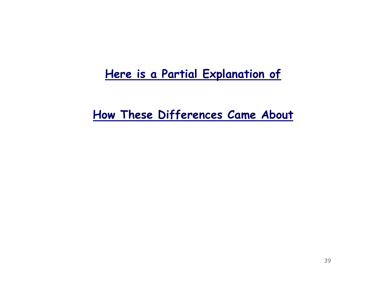# **Here is a Partial Explanation of**

**How These Differences Came About**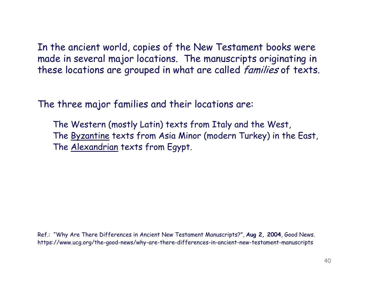In the ancient world, copies of the New Testament books were made in several major locations. The manuscripts originating in these locations are grouped in what are called *families* of texts.

The three major families and their locations are:

The Western (mostly Latin) texts from Italy and the West, The Byzantine texts from Asia Minor (modern Turkey) in the East, The Alexandrian texts from Egypt.

Ref.: "Why Are There Differences in Ancient New Testament Manuscripts?", **Aug 2, 2004**, Good News. https://www.ucg.org/the-good-news/why-are-there-differences-in-ancient-new-testament-manuscripts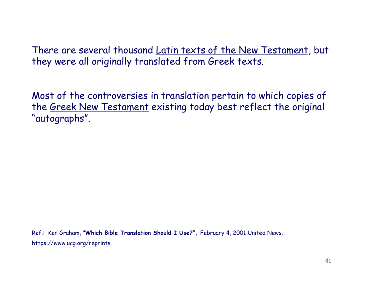There are several thousand Latin texts of the New Testament, but they were all originally translated from Greek texts.

Most of the controversies in translation pertain to which copies of the Greek New Testament existing today best reflect the original "autographs".

Ref.: Ken Graham, **"Which Bible Translation Should I Use?",** February 4, 2001 United News. https://www.ucg.org/reprints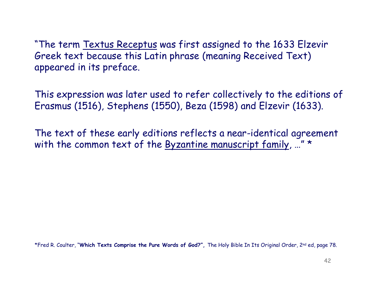"The term Textus Receptus was first assigned to the 1633 Elzevir Greek text because this Latin phrase (meaning Received Text) appeared in its preface.

This expression was later used to refer collectively to the editions of Erasmus (1516), Stephens (1550), Beza (1598) and Elzevir (1633).

The text of these early editions reflects a near-identical agreement with the common text of the Byzantine manuscript family, ..." \*

\*Fred R. Coulter, "**Which Texts Comprise the Pure Words of God?",** The Holy Bible In Its Original Order, 2nd ed, page 78.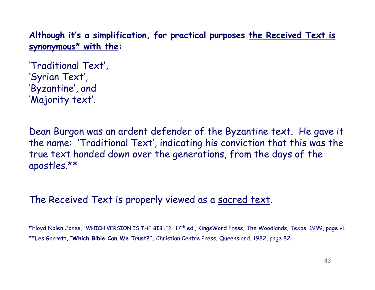**Although it's a simplification, for practical purposes the Received Text is synonymous\* with the:**

'Traditional Text', 'Syrian Text', 'Byzantine', and 'Majority text'.

Dean Burgon was an ardent defender of the Byzantine text. He gave it the name: 'Traditional Text', indicating his conviction that this was the true text handed down over the generations, from the days of the apostles.\*\*

## The Received Text is properly viewed as a sacred text.

\*Floyd Nolen Jones, "WHICH VERSION IS THE BIBLE?, 17th ed., KingsWord Press, The Woodlands, Texas, 1999, page vi. \*\*Les Garrett, **"Which Bible Can We Trust?",** Christian Centre Press, Queensland, 1982, page 82.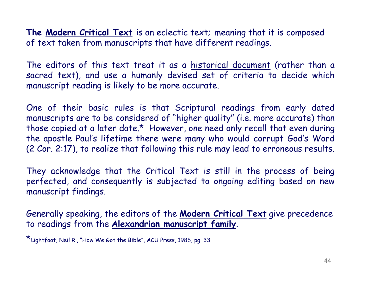**The Modern Critical Text** is an eclectic text; meaning that it is composed of text taken from manuscripts that have different readings.

The editors of this text treat it as a historical document (rather than a sacred text), and use a humanly devised set of criteria to decide which manuscript reading is likely to be more accurate.

One of their basic rules is that Scriptural readings from early dated manuscripts are to be considered of "higher quality" (i.e. more accurate) than those copied at a later date.\* However, one need only recall that even during the apostle Paul's lifetime there were many who would corrupt God's Word (2 Cor. 2:17), to realize that following this rule may lead to erroneous results.

They acknowledge that the Critical Text is still in the process of being perfected, and consequently is subjected to ongoing editing based on new manuscript findings.

Generally speaking, the editors of the **Modern Critical Text** give precedence to readings from the **Alexandrian manuscript family**.

\*Lightfoot, Neil R., "How We Got the Bible", ACU Press, 1986, pg. 33.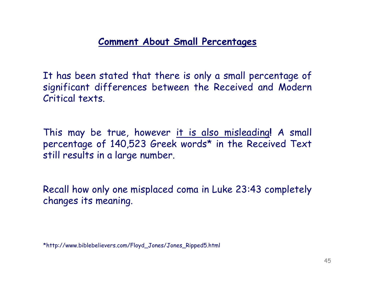## **Comment About Small Percentages**

It has been stated that there is only a small percentage of significant differences between the Received and Modern Critical texts.

This may be true, however it is also misleading**!** A small percentage of 140,523 Greek words\* in the Received Text still results in a large number.

Recall how only one misplaced coma in Luke 23:43 completely changes its meaning.

\*http://www.biblebelievers.com/Floyd\_Jones/Jones\_Ripped5.html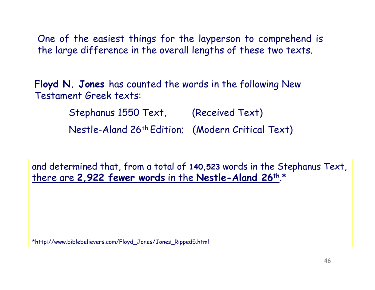One of the easiest things for the layperson to comprehend is the large difference in the overall lengths of these two texts.

**Floyd N. Jones** has counted the words in the following New Testament Greek texts:

> Stephanus 1550 Text, (Received Text) Nestle-Aland 26th Edition; (Modern Critical Text)

and determined that, from a total of **140,523** words in the Stephanus Text, there are **2,922 fewer words** in the **Nestle-Aland 26th**.\*

\*http://www.biblebelievers.com/Floyd\_Jones/Jones\_Ripped5.html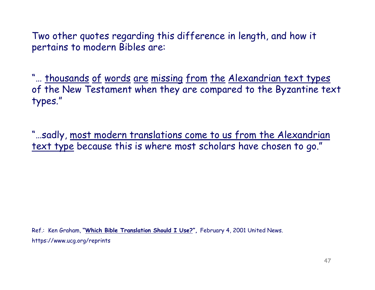Two other quotes regarding this difference in length, and how it pertains to modern Bibles are:

"... thousands of words are missing from the Alexandrian text types of the New Testament when they are compared to the Byzantine text types."

"…sadly, most modern translations come to us from the Alexandrian text type because this is where most scholars have chosen to go."

Ref.: Ken Graham, **"Which Bible Translation Should I Use?",** February 4, 2001 United News. https://www.ucg.org/reprints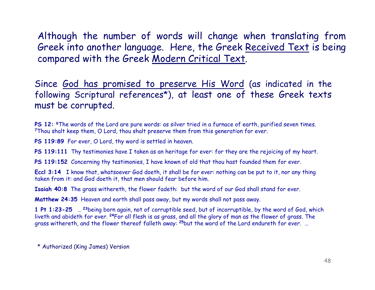Although the number of words will change when translating from Greek into another language. Here, the Greek Received Text is being compared with the Greek Modern Critical Text.

Since God has promised to preserve His Word (as indicated in the following Scriptural references\*), at least one of these Greek texts must be corrupted.

**PS 12: 6**The words of the Lord are pure words: as silver tried in a furnace of earth, purified seven times. **<sup>7</sup>**Thou shalt keep them, O Lord, thou shalt preserve them from this generation for ever.

**PS 119:89** For ever, O Lord, thy word is settled in heaven.

**PS 119:111** Thy testimonies have I taken as an heritage for ever: for they are the rejoicing of my heart.

**PS 119:152** Concerning thy testimonies, I have known of old that thou hast founded them for ever.

**Eccl 3:14** I know that, whatsoever God doeth, it shall be for ever: nothing can be put to it, nor any thing taken from it: and God doeth it, that men should fear before him.

**Isaiah 40:8** The grass withereth, the flower fadeth: but the word of our God shall stand for ever.

**Matthew 24:35** Heaven and earth shall pass away, but my words shall not pass away.

**1 Pt 1:23-25** … **<sup>23</sup>**being born again, not of corruptible seed, but of incorruptible, by the word of God, which liveth and abideth for ever. **<sup>24</sup>**For all flesh is as grass, and all the glory of man as the flower of grass. The grass withereth, and the flower thereof falleth away: **<sup>25</sup>**but the word of the Lord endureth for ever. …

<sup>\*</sup> Authorized (King James) Version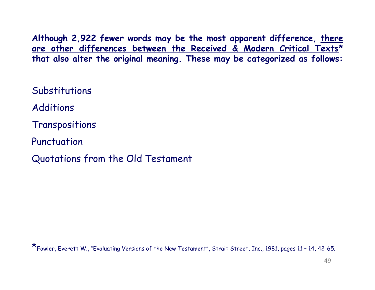**Although 2,922 fewer words may be the most apparent difference, there are other differences between the Received & Modern Critical Texts\* that also alter the original meaning. These may be categorized as follows:**

**Substitutions** 

Additions

Transpositions

Punctuation

Quotations from the Old Testament

 $\star$  Fowler, Everett W., "Evaluating Versions of the New Testament", Strait Street, Inc., 1981, pages 11 – 14, 42-65.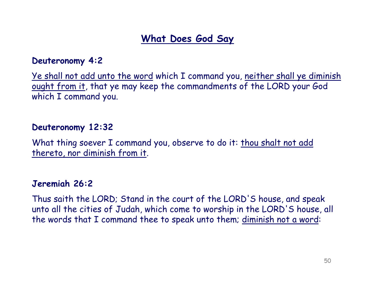## **What Does God Say**

## **Deuteronomy 4:2**

Ye shall not add unto the word which I command you, neither shall ye diminish ought from it, that ye may keep the commandments of the LORD your God which I command you.

## **Deuteronomy 12:32**

What thing soever I command you, observe to do it: thou shalt not add thereto, nor diminish from it.

## **Jeremiah 26:2**

Thus saith the LORD; Stand in the court of the LORD'S house, and speak unto all the cities of Judah, which come to worship in the LORD'S house, all the words that I command thee to speak unto them; diminish not a word: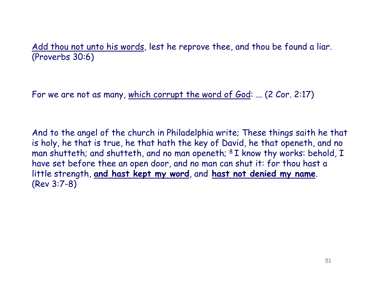Add thou not unto his words, lest he reprove thee, and thou be found a liar. (Proverbs 30:6)

For we are not as many, which corrupt the word of God: ... (2 Cor. 2:17)

And to the angel of the church in Philadelphia write; These things saith he that is holy, he that is true, he that hath the key of David, he that openeth, and no man shutteth; and shutteth, and no man openeth; <sup>8</sup> I know thy works: behold, I have set before thee an open door, and no man can shut it: for thou hast a little strength, **and hast kept my word**, and **hast not denied my name**. (Rev 3:7-8)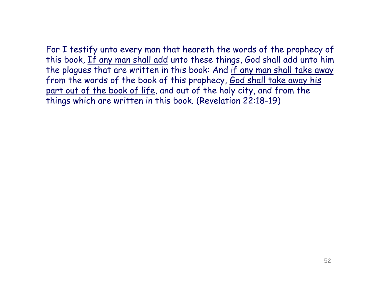For I testify unto every man that heareth the words of the prophecy of this book, If any man shall add unto these things, God shall add unto him the plagues that are written in this book: And if any man shall take away from the words of the book of this prophecy, God shall take away his part out of the book of life, and out of the holy city, and from the things which are written in this book. (Revelation 22:18-19)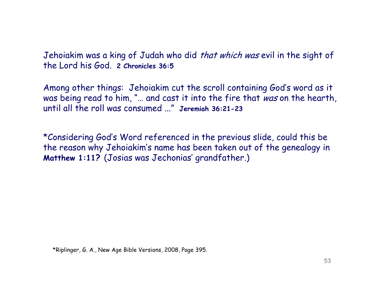Jehoiakim was a king of Judah who did *that which was* evil in the sight of the Lord his God. **2 Chronicles 36:5**

Among other things: Jehoiakim cut the scroll containing God's word as it was being read to him, "... and cast it into the fire that was on the hearth, until all the roll was consumed ..." **Jeremiah 36:21-23**

\*Considering God's Word referenced in the previous slide, could this be the reason why Jehoiakim's name has been taken out of the genealogy in **Matthew 1:11?** (Josias was Jechonias' grandfather.)

\*Riplinger, G. A., New Age Bible Versions, 2008, Page 395.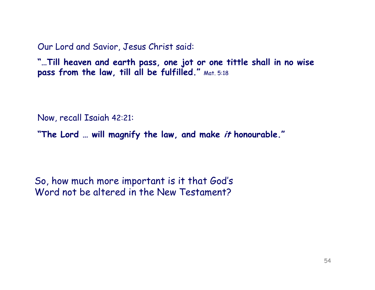Our Lord and Savior, Jesus Christ said:

**"…Till heaven and earth pass, one jot or one tittle shall in no wise pass from the law, till all be fulfilled."** Mat. 5:18

Now, recall Isaiah 42:21:

**"The Lord … will magnify the law, and make it honourable."**

So, how much more important is it that God's Word not be altered in the New Testament?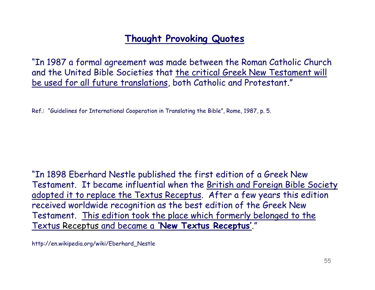## **Thought Provoking Quotes**

"In 1987 a formal agreement was made between the Roman Catholic Church and the United Bible Societies that the critical Greek New Testament will be used for all future translations, both Catholic and Protestant."

Ref.: "Guidelines for International Cooperation in Translating the Bible", Rome, 1987, p. 5.

"In 1898 Eberhard Nestle published the first edition of a Greek New Testament. It became influential when the British and Foreign Bible Society adopted it to replace the Textus Receptus. After a few years this edition received worldwide recognition as the best edition of the Greek New Testament. This edition took the place which formerly belonged to the Textus Receptus and became a **'New Textus Receptus'**."

http://en.wikipedia.org/wiki/Eberhard\_Nestle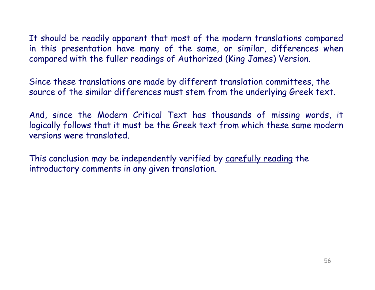It should be readily apparent that most of the modern translations compared in this presentation have many of the same, or similar, differences when compared with the fuller readings of Authorized (King James) Version.

Since these translations are made by different translation committees, the source of the similar differences must stem from the underlying Greek text.

And, since the Modern Critical Text has thousands of missing words, it logically follows that it must be the Greek text from which these same modern versions were translated.

This conclusion may be independently verified by carefully reading the introductory comments in any given translation.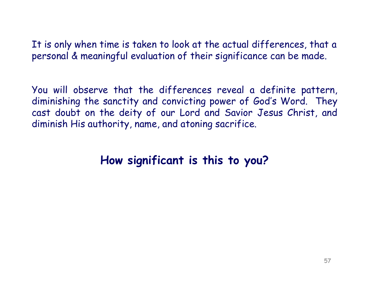It is only when time is taken to look at the actual differences, that a personal & meaningful evaluation of their significance can be made.

You will observe that the differences reveal a definite pattern, diminishing the sanctity and convicting power of God's Word. They cast doubt on the deity of our Lord and Savior Jesus Christ, and diminish His authority, name, and atoning sacrifice.

# **How significant is this to you?**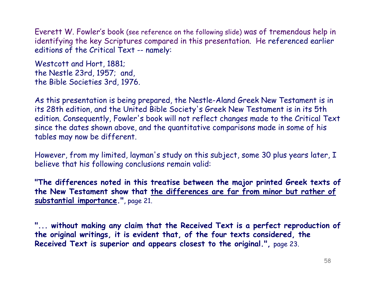Everett W. Fowler's book (see reference on the following slide) was of tremendous help in identifying the key Scriptures compared in this presentation. He referenced earlier editions of the Critical Text -- namely:

Westcott and Hort, 1881; the Nestle 23rd, 1957; and, the Bible Societies 3rd, 1976.

As this presentation is being prepared, the Nestle-Aland Greek New Testament is in its 28th edition, and the United Bible Society's Greek New Testament is in its 5th edition. Consequently, Fowler's book will not reflect changes made to the Critical Text since the dates shown above, and the quantitative comparisons made in some of his tables may now be different.

However, from my limited, layman's study on this subject, some 30 plus years later, I believe that his following conclusions remain valid:

**"The differences noted in this treatise between the major printed Greek texts of the New Testament show that the differences are far from minor but rather of substantial importance."**, page 21.

**"... without making any claim that the Received Text is a perfect reproduction of the original writings, it is evident that, of the four texts considered, the Received Text is superior and appears closest to the original.",** page 23.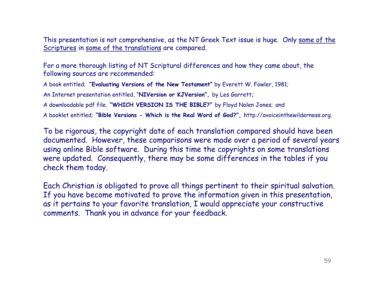This presentation is not comprehensive, as the NT Greek Text issue is huge. Only some of the Scriptures in some of the translations are compared.

For a more thorough listing of NT Scriptural differences and how they came about, the following sources are recommended:

A book entitled; **"Evaluating Versions of the New Testament"** by Everett W. Fowler, 1981;

An Internet presentation entitled, "**NIVersion or KJVersion",** by Les Garrett**;** 

A downloadable pdf file, **"WHICH VERSION IS THE BIBLE?"** by Floyd Nolen Jones; and

A booklet entitled; **"Bible Versions - Which is the Real Word of God?",** http://avoiceinthewilderness.org.

To be rigorous, the copyright date of each translation compared should have been documented. However, these comparisons were made over a period of several years using online Bible software. During this time the copyrights on some translations were updated. Consequently, there may be some differences in the tables if you check them today.

Each Christian is obligated to prove all things pertinent to their spiritual salvation. If you have become motivated to prove the information given in this presentation, as it pertains to your favorite translation, I would appreciate your constructive comments. Thank you in advance for your feedback.